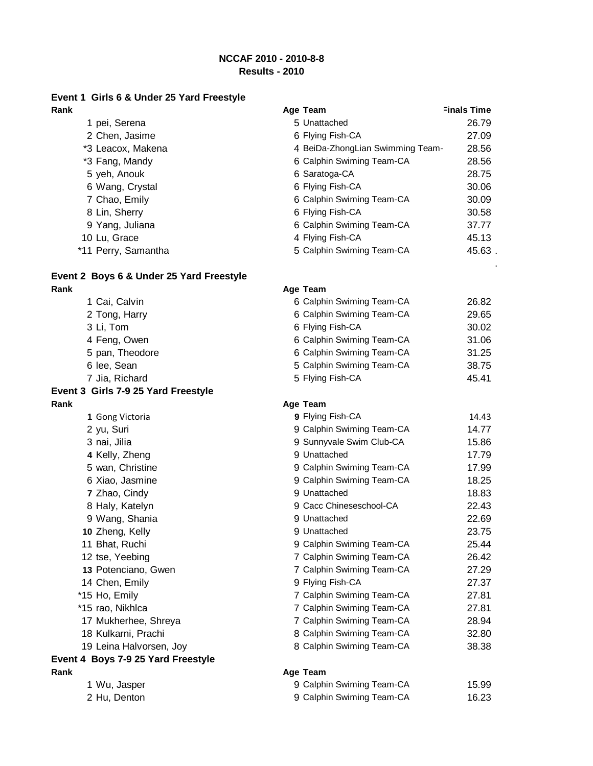# **NCCAF 2010 - 2010-8-8**

# **Results - 2010**

# **Event 1 Girls 6 & Under 25 Yard Freestyle**

| Rank                | Age Team                         | <b>Finals Time</b> |
|---------------------|----------------------------------|--------------------|
| 1 pei, Serena       | 5 Unattached                     | 26.79              |
| 2 Chen, Jasime      | 6 Flying Fish-CA                 | 27.09              |
| *3 Leacox, Makena   | 4 BeiDa-ZhongLian Swimming Team- | 28.56              |
| *3 Fang, Mandy      | 6 Calphin Swiming Team-CA        | 28.56              |
| 5 yeh, Anouk        | 6 Saratoga-CA                    | 28.75              |
| 6 Wang, Crystal     | 6 Flying Fish-CA                 | 30.06              |
| 7 Chao, Emily       | 6 Calphin Swiming Team-CA        | 30.09              |
| 8 Lin, Sherry       | 6 Flying Fish-CA                 | 30.58              |
| 9 Yang, Juliana     | 6 Calphin Swiming Team-CA        | 37.77              |
| 10 Lu, Grace        | 4 Flying Fish-CA                 | 45.13              |
| *11 Perry, Samantha | 5 Calphin Swiming Team-CA        | 45.63.             |
|                     |                                  |                    |

## **Event 2 Boys 6 & Under 25 Yard Freestyle Rank Age Team**

1 Cai, Calvin 6 Calphin Swiming Team-CA 26.82 2 Tong, Harry 3 Li, Tom 4 Feng, Owen 5 pan, Theodore 6 lee, Sean **Event 3 Girls 7-9 25 Yard Freestyle Rank Age Team 1** Gong Victoria

2 yu, Suri 3 nai, Jilia **4** Kelly, Zheng 5 wan, Christine 6 Xiao, Jasmine **7** Zhao, Cindy 8 Haly, Katelyn 9 Wang, Shania 10 Zheng, Kelly 11 Bhat, Ruchi 12 tse, Yeebing **13** Potenciano, Gwen 14 Chen, Emily \*15 Ho, Emily \*15 rao, Nikhlca

| 6 Calphin Swiming Team-CA | 30 |
|---------------------------|----|
| 6 Flying Fish-CA          | 30 |
| 6 Calphin Swiming Team-CA | 37 |
| 4 Flying Fish-CA          | 45 |
| 5 Calphin Swiming Team-CA | 45 |
|                           |    |
|                           |    |
|                           |    |

.

| 2 Tong, Harry   | 6 Calphin Swiming Team-CA | 29.65 |
|-----------------|---------------------------|-------|
| 3 Li, Tom       | 6 Flying Fish-CA          | 30.02 |
| 4 Feng, Owen    | 6 Calphin Swiming Team-CA | 31.06 |
| 5 pan, Theodore | 6 Calphin Swiming Team-CA | 31.25 |
| 6 lee. Sean     | 5 Calphin Swiming Team-CA | 38.75 |
| 7 Jia, Richard  | 5 Flying Fish-CA          | 45.41 |

| 9 Flying Fish-CA          | 14.43 |
|---------------------------|-------|
| 9 Calphin Swiming Team-CA | 14.77 |
| 9 Sunnyvale Swim Club-CA  | 15.86 |
| 9 Unattached              | 17.79 |
| 9 Calphin Swiming Team-CA | 17.99 |
| 9 Calphin Swiming Team-CA | 18.25 |
| 9 Unattached              | 18.83 |
| 9 Cacc Chineseschool-CA   | 22.43 |
| 9 Unattached              | 22.69 |
| 9 Unattached              | 23.75 |
| 9 Calphin Swiming Team-CA | 25.44 |
| 7 Calphin Swiming Team-CA | 26.42 |
| 7 Calphin Swiming Team-CA | 27.29 |
| 9 Flying Fish-CA          | 27.37 |
| 7 Calphin Swiming Team-CA | 27.81 |
| 7 Calphin Swiming Team-CA | 27.81 |
| 7 Calphin Swiming Team-CA | 28.94 |
| 8 Calphin Swiming Team-CA | 32.80 |
| 8 Calphin Swiming Team-CA | 38.38 |
| -                         |       |

### **Rank Age Team**

| 1 Wu, Jasper | 9 Calphin Swiming Team-CA | 15.99 |
|--------------|---------------------------|-------|
| 2 Hu, Denton | 9 Calphin Swiming Team-CA | 16.23 |

- 
- 

17 Mukherhee, Shreya 18 Kulkarni, Prachi 19 Leina Halvorsen, Joy **Event 4 Boys 7-9 25 Yard Freestyle**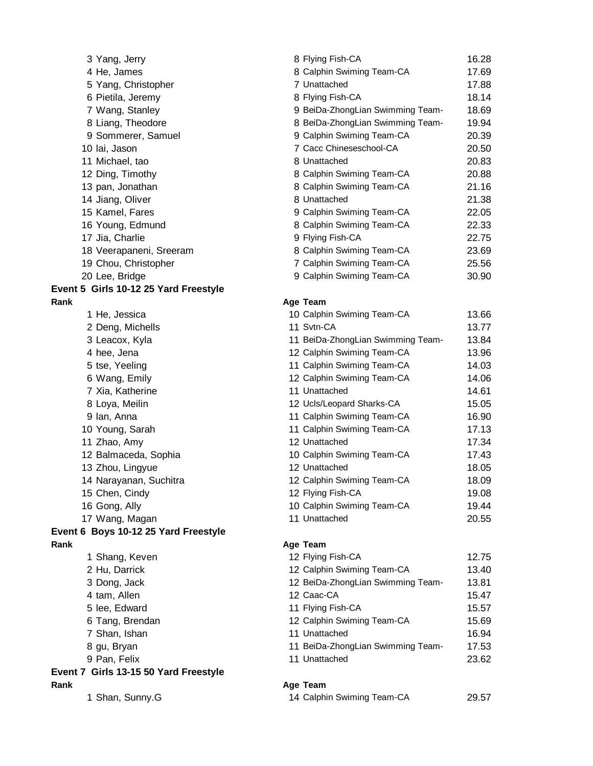|      | 3 Yang, Jerry                         | 8 Flying Fish-CA                  | 16.28 |
|------|---------------------------------------|-----------------------------------|-------|
|      | 4 He, James                           | 8 Calphin Swiming Team-CA         | 17.69 |
|      | 5 Yang, Christopher                   | 7 Unattached                      | 17.88 |
|      | 6 Pietila, Jeremy                     | 8 Flying Fish-CA                  | 18.14 |
|      | 7 Wang, Stanley                       | 9 BeiDa-ZhongLian Swimming Team-  | 18.69 |
|      | 8 Liang, Theodore                     | 8 BeiDa-ZhongLian Swimming Team-  | 19.94 |
|      | 9 Sommerer, Samuel                    | 9 Calphin Swiming Team-CA         | 20.39 |
|      | 10 lai, Jason                         | 7 Cacc Chineseschool-CA           | 20.50 |
|      | 11 Michael, tao                       | 8 Unattached                      | 20.83 |
|      | 12 Ding, Timothy                      | 8 Calphin Swiming Team-CA         | 20.88 |
|      | 13 pan, Jonathan                      | 8 Calphin Swiming Team-CA         | 21.16 |
|      | 14 Jiang, Oliver                      | 8 Unattached                      | 21.38 |
|      | 15 Kamel, Fares                       | 9 Calphin Swiming Team-CA         | 22.05 |
|      | 16 Young, Edmund                      | 8 Calphin Swiming Team-CA         | 22.33 |
|      | 17 Jia, Charlie                       | 9 Flying Fish-CA                  | 22.75 |
|      | 18 Veerapaneni, Sreeram               | 8 Calphin Swiming Team-CA         | 23.69 |
|      | 19 Chou, Christopher                  | 7 Calphin Swiming Team-CA         | 25.56 |
|      | 20 Lee, Bridge                        | 9 Calphin Swiming Team-CA         | 30.90 |
|      | Event 5 Girls 10-12 25 Yard Freestyle |                                   |       |
| Rank |                                       | Age Team                          |       |
|      | 1 He, Jessica                         | 10 Calphin Swiming Team-CA        | 13.66 |
|      | 2 Deng, Michells                      | 11 Svtn-CA                        | 13.77 |
|      | 3 Leacox, Kyla                        | 11 BeiDa-ZhongLian Swimming Team- | 13.84 |
|      | 4 hee, Jena                           | 12 Calphin Swiming Team-CA        | 13.96 |
|      | 5 tse, Yeeling                        | 11 Calphin Swiming Team-CA        | 14.03 |
|      | 6 Wang, Emily                         | 12 Calphin Swiming Team-CA        | 14.06 |
|      | 7 Xia, Katherine                      | 11 Unattached                     | 14.61 |
|      | 8 Loya, Meilin                        | 12 Ucls/Leopard Sharks-CA         | 15.05 |
|      | 9 Ian, Anna                           | 11 Calphin Swiming Team-CA        | 16.90 |
|      | 10 Young, Sarah                       | 11 Calphin Swiming Team-CA        | 17.13 |
|      | 11 Zhao, Amy                          | 12 Unattached                     | 17.34 |
|      | 12 Balmaceda, Sophia                  | 10 Calphin Swiming Team-CA        | 17.43 |
|      | 13 Zhou, Lingyue                      | 12 Unattached                     | 18.05 |
|      | 14 Narayanan, Suchitra                | 12 Calphin Swiming Team-CA        | 18.09 |
|      | 15 Chen, Cindy                        | 12 Flying Fish-CA                 | 19.08 |
|      | 16 Gong, Ally                         | 10 Calphin Swiming Team-CA        | 19.44 |
|      | 17 Wang, Magan                        | 11 Unattached                     | 20.55 |
|      | Event 6 Boys 10-12 25 Yard Freestyle  |                                   |       |
| Rank |                                       | Age Team                          |       |
|      | 1 Shang, Keven                        | 12 Flying Fish-CA                 | 12.75 |
|      | 2 Hu, Darrick                         | 12 Calphin Swiming Team-CA        | 13.40 |
|      | 3 Dong, Jack                          | 12 BeiDa-ZhongLian Swimming Team- | 13.81 |
|      | 4 tam, Allen                          | 12 Caac-CA                        | 15.47 |
|      | 5 lee, Edward                         | 11 Flying Fish-CA                 | 15.57 |
|      | 6 Tang, Brendan                       | 12 Calphin Swiming Team-CA        | 15.69 |
|      | 7 Shan, Ishan                         | 11 Unattached                     | 16.94 |
|      | 8 gu, Bryan                           | 11 BeiDa-ZhongLian Swimming Team- | 17.53 |
|      | 9 Pan, Felix                          | 11 Unattached                     | 23.62 |
|      | Event 7 Girls 13-15 50 Yard Freestyle |                                   |       |
| Rank |                                       | Age Team                          |       |
|      | 1 Shan, Sunny.G                       | 14 Calphin Swiming Team-CA        | 29.57 |
|      |                                       |                                   |       |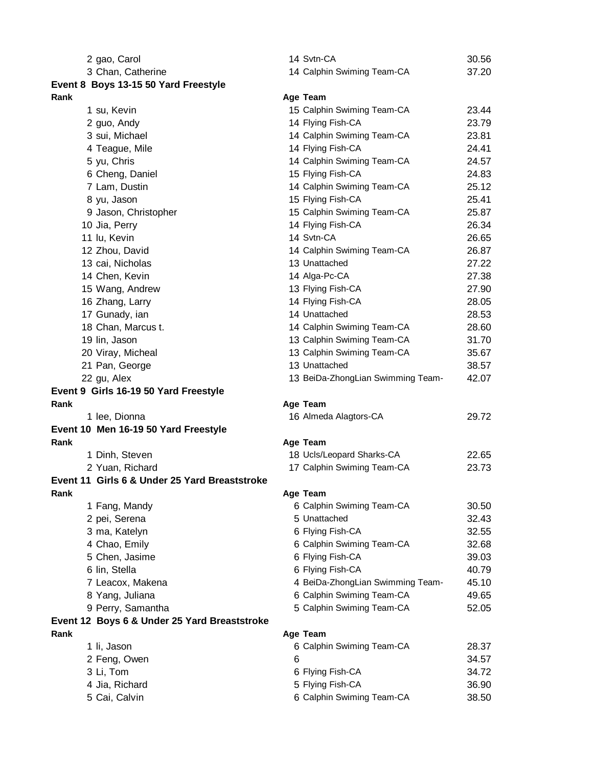|      | 2 gao, Carol                                  |   | 14 Svtn-CA                                    | 30.56          |
|------|-----------------------------------------------|---|-----------------------------------------------|----------------|
|      | 3 Chan, Catherine                             |   | 14 Calphin Swiming Team-CA                    | 37.20          |
|      | Event 8 Boys 13-15 50 Yard Freestyle          |   |                                               |                |
| Rank |                                               |   | Age Team                                      |                |
|      | 1 su, Kevin                                   |   | 15 Calphin Swiming Team-CA                    | 23.44          |
|      | 2 guo, Andy                                   |   | 14 Flying Fish-CA                             | 23.79          |
|      | 3 sui, Michael                                |   | 14 Calphin Swiming Team-CA                    | 23.81          |
|      | 4 Teague, Mile                                |   | 14 Flying Fish-CA                             | 24.41          |
|      | 5 yu, Chris                                   |   | 14 Calphin Swiming Team-CA                    | 24.57          |
|      | 6 Cheng, Daniel                               |   | 15 Flying Fish-CA                             | 24.83          |
|      | 7 Lam, Dustin                                 |   | 14 Calphin Swiming Team-CA                    | 25.12          |
|      | 8 yu, Jason                                   |   | 15 Flying Fish-CA                             | 25.41          |
|      | 9 Jason, Christopher                          |   | 15 Calphin Swiming Team-CA                    | 25.87          |
|      | 10 Jia, Perry                                 |   | 14 Flying Fish-CA                             | 26.34          |
|      | 11 lu, Kevin                                  |   | 14 Svtn-CA                                    | 26.65          |
|      | 12 Zhou, David                                |   | 14 Calphin Swiming Team-CA                    | 26.87          |
|      | 13 cai, Nicholas                              |   | 13 Unattached                                 | 27.22          |
|      | 14 Chen, Kevin                                |   | 14 Alga-Pc-CA                                 | 27.38          |
|      | 15 Wang, Andrew                               |   | 13 Flying Fish-CA                             | 27.90          |
|      | 16 Zhang, Larry                               |   | 14 Flying Fish-CA                             | 28.05          |
|      | 17 Gunady, ian                                |   | 14 Unattached                                 | 28.53          |
|      | 18 Chan, Marcus t.                            |   | 14 Calphin Swiming Team-CA                    | 28.60          |
|      | 19 lin, Jason                                 |   | 13 Calphin Swiming Team-CA                    | 31.70          |
|      | 20 Viray, Micheal                             |   | 13 Calphin Swiming Team-CA                    | 35.67          |
|      | 21 Pan, George                                |   | 13 Unattached                                 | 38.57          |
|      | 22 gu, Alex                                   |   | 13 BeiDa-ZhongLian Swimming Team-             | 42.07          |
|      |                                               |   |                                               |                |
|      | Event 9 Girls 16-19 50 Yard Freestyle         |   |                                               |                |
| Rank |                                               |   | Age Team                                      |                |
|      | 1 lee, Dionna                                 |   | 16 Almeda Alagtors-CA                         | 29.72          |
|      | Event 10 Men 16-19 50 Yard Freestyle          |   |                                               |                |
| Rank |                                               |   | Age Team                                      |                |
|      | 1 Dinh, Steven                                |   | 18 Ucls/Leopard Sharks-CA                     | 22.65          |
|      | 2 Yuan, Richard                               |   | 17 Calphin Swiming Team-CA                    | 23.73          |
|      | Event 11 Girls 6 & Under 25 Yard Breaststroke |   |                                               |                |
| Rank |                                               |   | Age Team                                      |                |
|      | 1 Fang, Mandy                                 |   | 6 Calphin Swiming Team-CA                     | 30.50          |
|      | 2 pei, Serena                                 |   | 5 Unattached                                  | 32.43          |
|      | 3 ma, Katelyn                                 |   | 6 Flying Fish-CA                              | 32.55          |
|      | 4 Chao, Emily                                 |   | 6 Calphin Swiming Team-CA                     | 32.68          |
|      | 5 Chen, Jasime                                |   | 6 Flying Fish-CA                              | 39.03          |
|      | 6 lin, Stella                                 |   | 6 Flying Fish-CA                              | 40.79          |
|      | 7 Leacox, Makena                              |   | 4 BeiDa-ZhongLian Swimming Team-              | 45.10          |
|      | 8 Yang, Juliana                               |   | 6 Calphin Swiming Team-CA                     | 49.65          |
|      | 9 Perry, Samantha                             |   | 5 Calphin Swiming Team-CA                     | 52.05          |
|      | Event 12 Boys 6 & Under 25 Yard Breaststroke  |   |                                               |                |
| Rank |                                               |   | Age Team                                      |                |
|      | 1 li, Jason                                   |   | 6 Calphin Swiming Team-CA                     | 28.37          |
|      | 2 Feng, Owen                                  | 6 |                                               | 34.57          |
|      | 3 Li, Tom                                     |   | 6 Flying Fish-CA                              | 34.72          |
|      | 4 Jia, Richard<br>5 Cai, Calvin               |   | 5 Flying Fish-CA<br>6 Calphin Swiming Team-CA | 36.90<br>38.50 |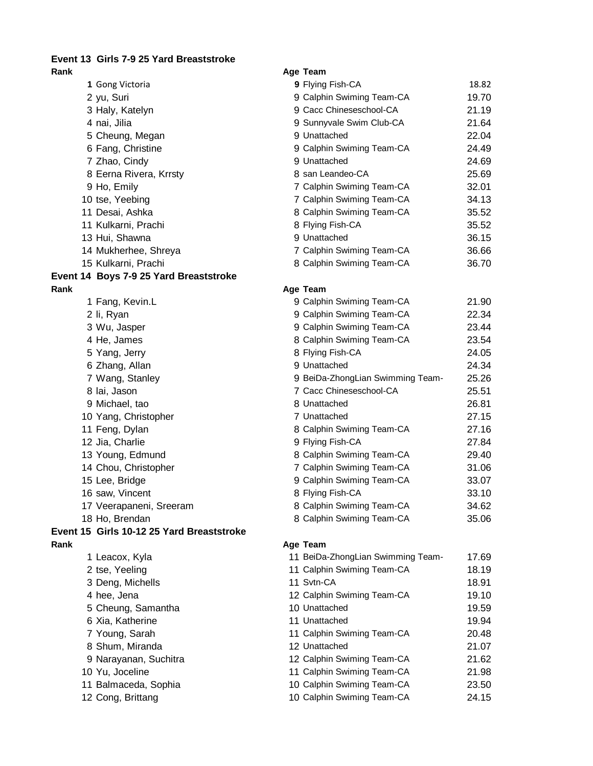## **Event 13 Girls 7-9 25 Yard Breaststroke**

| Rank                                      | Age Team                          |       |
|-------------------------------------------|-----------------------------------|-------|
| 1 Gong Victoria                           | 9 Flying Fish-CA                  | 18.82 |
| 2 yu, Suri                                | 9 Calphin Swiming Team-CA         | 19.70 |
| 3 Haly, Katelyn                           | 9 Cacc Chineseschool-CA           | 21.19 |
| 4 nai, Jilia                              | 9 Sunnyvale Swim Club-CA          | 21.64 |
| 5 Cheung, Megan                           | 9 Unattached                      | 22.04 |
| 6 Fang, Christine                         | 9 Calphin Swiming Team-CA         | 24.49 |
| 7 Zhao, Cindy                             | 9 Unattached                      | 24.69 |
| 8 Eerna Rivera, Krrsty                    | 8 san Leandeo-CA                  | 25.69 |
| 9 Ho, Emily                               | 7 Calphin Swiming Team-CA         | 32.01 |
| 10 tse, Yeebing                           | 7 Calphin Swiming Team-CA         | 34.13 |
| 11 Desai, Ashka                           | 8 Calphin Swiming Team-CA         | 35.52 |
| 11 Kulkarni, Prachi                       | 8 Flying Fish-CA                  | 35.52 |
| 13 Hui, Shawna                            | 9 Unattached                      | 36.15 |
| 14 Mukherhee, Shreya                      | 7 Calphin Swiming Team-CA         | 36.66 |
| 15 Kulkarni, Prachi                       | 8 Calphin Swiming Team-CA         | 36.70 |
| Event 14 Boys 7-9 25 Yard Breaststroke    |                                   |       |
| Rank                                      | Age Team                          |       |
| 1 Fang, Kevin.L                           | 9 Calphin Swiming Team-CA         | 21.90 |
| 2 li, Ryan                                | 9 Calphin Swiming Team-CA         | 22.34 |
| 3 Wu, Jasper                              | 9 Calphin Swiming Team-CA         | 23.44 |
| 4 He, James                               | 8 Calphin Swiming Team-CA         | 23.54 |
| 5 Yang, Jerry                             | 8 Flying Fish-CA                  | 24.05 |
| 6 Zhang, Allan                            | 9 Unattached                      | 24.34 |
| 7 Wang, Stanley                           | 9 BeiDa-ZhongLian Swimming Team-  | 25.26 |
| 8 lai, Jason                              | 7 Cacc Chineseschool-CA           | 25.51 |
| 9 Michael, tao                            | 8 Unattached                      | 26.81 |
| 10 Yang, Christopher                      | 7 Unattached                      | 27.15 |
| 11 Feng, Dylan                            | 8 Calphin Swiming Team-CA         | 27.16 |
| 12 Jia, Charlie                           | 9 Flying Fish-CA                  | 27.84 |
| 13 Young, Edmund                          | 8 Calphin Swiming Team-CA         | 29.40 |
| 14 Chou, Christopher                      | 7 Calphin Swiming Team-CA         | 31.06 |
| 15 Lee, Bridge                            | 9 Calphin Swiming Team-CA         | 33.07 |
| 16 saw, Vincent                           | 8 Flying Fish-CA                  | 33.10 |
| 17 Veerapaneni, Sreeram                   | 8 Calphin Swiming Team-CA         | 34.62 |
| 18 Ho, Brendan                            | 8 Calphin Swiming Team-CA         | 35.06 |
| Event 15 Girls 10-12 25 Yard Breaststroke |                                   |       |
| Rank                                      | Age Team                          |       |
| 1 Leacox, Kyla                            | 11 BeiDa-ZhongLian Swimming Team- | 17.69 |
| 2 tse, Yeeling                            | 11 Calphin Swiming Team-CA        | 18.19 |
| 3 Deng, Michells                          | 11 Svtn-CA                        | 18.91 |
| 4 hee, Jena                               | 12 Calphin Swiming Team-CA        | 19.10 |
| 5 Cheung, Samantha                        | 10 Unattached                     | 19.59 |
| 6 Xia, Katherine                          | 11 Unattached                     | 19.94 |
| 7 Young, Sarah                            | 11 Calphin Swiming Team-CA        | 20.48 |
| 8 Shum, Miranda                           | 12 Unattached                     | 21.07 |
| 9 Narayanan, Suchitra                     | 12 Calphin Swiming Team-CA        | 21.62 |
| 10 Yu, Joceline                           | 11 Calphin Swiming Team-CA        | 21.98 |
| 11 Balmaceda, Sophia                      | 10 Calphin Swiming Team-CA        | 23.50 |
| 12 Cong, Brittang                         | 10 Calphin Swiming Team-CA        | 24.15 |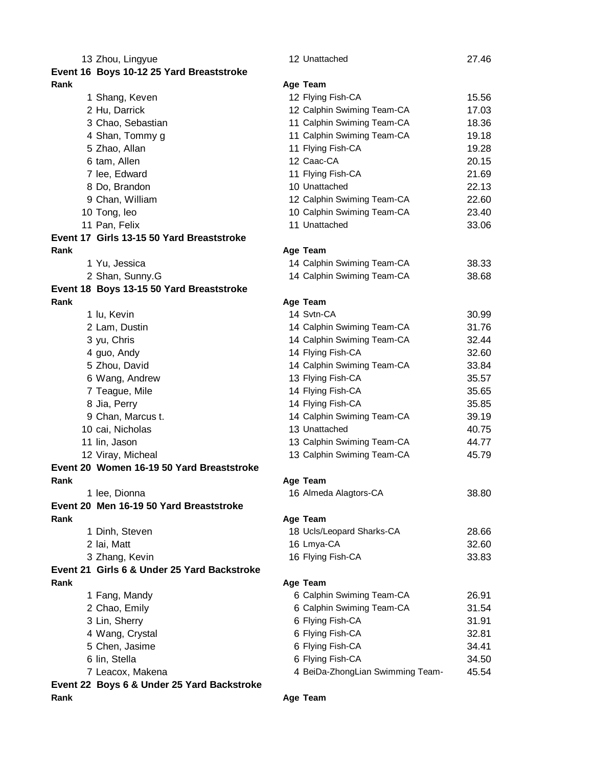|      | 13 Zhou, Lingyue                            | 12 Unattached                    | 27.46 |
|------|---------------------------------------------|----------------------------------|-------|
|      | Event 16 Boys 10-12 25 Yard Breaststroke    |                                  |       |
| Rank |                                             | Age Team                         |       |
|      | 1 Shang, Keven                              | 12 Flying Fish-CA                | 15.56 |
|      | 2 Hu, Darrick                               | 12 Calphin Swiming Team-CA       | 17.03 |
|      | 3 Chao, Sebastian                           | 11 Calphin Swiming Team-CA       | 18.36 |
|      | 4 Shan, Tommy g                             | 11 Calphin Swiming Team-CA       | 19.18 |
|      | 5 Zhao, Allan                               | 11 Flying Fish-CA                | 19.28 |
|      | 6 tam, Allen                                | 12 Caac-CA                       | 20.15 |
|      | 7 lee, Edward                               | 11 Flying Fish-CA                | 21.69 |
|      | 8 Do, Brandon                               | 10 Unattached                    | 22.13 |
|      | 9 Chan, William                             | 12 Calphin Swiming Team-CA       | 22.60 |
|      | 10 Tong, leo                                | 10 Calphin Swiming Team-CA       | 23.40 |
|      | 11 Pan, Felix                               | 11 Unattached                    | 33.06 |
|      | Event 17 Girls 13-15 50 Yard Breaststroke   |                                  |       |
| Rank |                                             | Age Team                         |       |
|      | 1 Yu, Jessica                               | 14 Calphin Swiming Team-CA       | 38.33 |
|      | 2 Shan, Sunny.G                             | 14 Calphin Swiming Team-CA       | 38.68 |
|      | Event 18 Boys 13-15 50 Yard Breaststroke    |                                  |       |
| Rank |                                             | Age Team                         |       |
|      | 1 lu, Kevin                                 | 14 Svtn-CA                       | 30.99 |
|      | 2 Lam, Dustin                               | 14 Calphin Swiming Team-CA       | 31.76 |
|      | 3 yu, Chris                                 | 14 Calphin Swiming Team-CA       | 32.44 |
|      | 4 guo, Andy                                 | 14 Flying Fish-CA                | 32.60 |
|      | 5 Zhou, David                               | 14 Calphin Swiming Team-CA       | 33.84 |
|      | 6 Wang, Andrew                              | 13 Flying Fish-CA                | 35.57 |
|      | 7 Teague, Mile                              | 14 Flying Fish-CA                | 35.65 |
|      | 8 Jia, Perry                                | 14 Flying Fish-CA                | 35.85 |
|      | 9 Chan, Marcus t.                           | 14 Calphin Swiming Team-CA       | 39.19 |
|      | 10 cai, Nicholas                            | 13 Unattached                    | 40.75 |
|      | 11 lin, Jason                               | 13 Calphin Swiming Team-CA       | 44.77 |
|      | 12 Viray, Micheal                           | 13 Calphin Swiming Team-CA       | 45.79 |
|      | Event 20 Women 16-19 50 Yard Breaststroke   |                                  |       |
| Rank |                                             | Age Team                         |       |
|      | 1 lee, Dionna                               | 16 Almeda Alagtors-CA            | 38.80 |
|      | Event 20 Men 16-19 50 Yard Breaststroke     |                                  |       |
| Rank |                                             | Age Team                         |       |
|      | 1 Dinh, Steven                              | 18 Ucls/Leopard Sharks-CA        | 28.66 |
|      | 2 lai, Matt                                 | 16 Lmya-CA                       | 32.60 |
|      | 3 Zhang, Kevin                              | 16 Flying Fish-CA                | 33.83 |
|      | Event 21 Girls 6 & Under 25 Yard Backstroke |                                  |       |
| Rank |                                             | Age Team                         |       |
|      | 1 Fang, Mandy                               | 6 Calphin Swiming Team-CA        | 26.91 |
|      | 2 Chao, Emily                               | 6 Calphin Swiming Team-CA        | 31.54 |
|      | 3 Lin, Sherry                               | 6 Flying Fish-CA                 | 31.91 |
|      | 4 Wang, Crystal                             | 6 Flying Fish-CA                 | 32.81 |
|      | 5 Chen, Jasime                              | 6 Flying Fish-CA                 | 34.41 |
|      | 6 lin, Stella                               | 6 Flying Fish-CA                 | 34.50 |
|      | 7 Leacox, Makena                            | 4 BeiDa-ZhongLian Swimming Team- | 45.54 |
|      | Event 22 Boys 6 & Under 25 Yard Backstroke  |                                  |       |
| Rank |                                             | Age Team                         |       |
|      |                                             |                                  |       |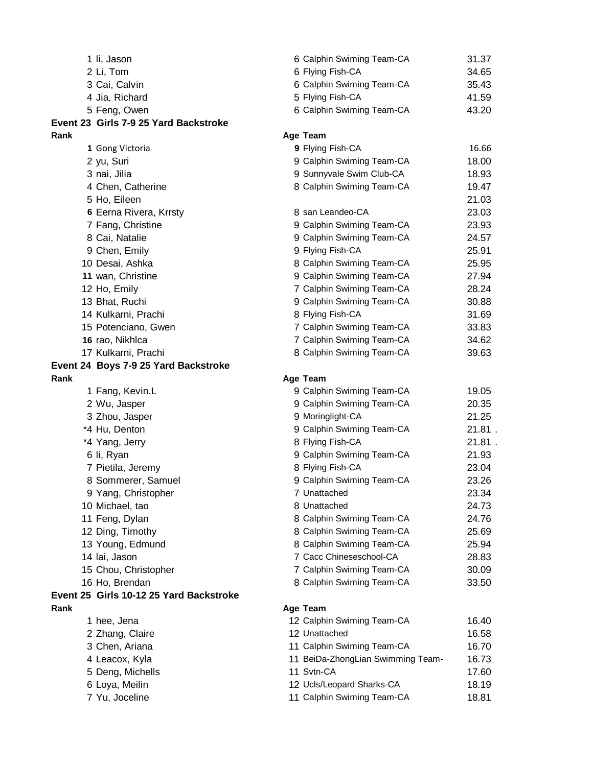|      | 1 li, Jason                             | 6 Calphin Swiming Team-CA         | 31.37  |
|------|-----------------------------------------|-----------------------------------|--------|
|      | 2 Li, Tom                               | 6 Flying Fish-CA                  | 34.65  |
|      | 3 Cai, Calvin                           | 6 Calphin Swiming Team-CA         | 35.43  |
|      | 4 Jia, Richard                          | 5 Flying Fish-CA                  | 41.59  |
|      | 5 Feng, Owen                            | 6 Calphin Swiming Team-CA         | 43.20  |
|      | Event 23 Girls 7-9 25 Yard Backstroke   |                                   |        |
| Rank |                                         | Age Team                          |        |
|      | 1 Gong Victoria                         | 9 Flying Fish-CA                  | 16.66  |
|      | 2 yu, Suri                              | 9 Calphin Swiming Team-CA         | 18.00  |
|      | 3 nai, Jilia                            | 9 Sunnyvale Swim Club-CA          | 18.93  |
|      | 4 Chen, Catherine                       | 8 Calphin Swiming Team-CA         | 19.47  |
|      | 5 Ho, Eileen                            |                                   | 21.03  |
|      | 6 Eerna Rivera, Krrsty                  | 8 san Leandeo-CA                  | 23.03  |
|      | 7 Fang, Christine                       | 9 Calphin Swiming Team-CA         | 23.93  |
|      | 8 Cai, Natalie                          | 9 Calphin Swiming Team-CA         | 24.57  |
|      | 9 Chen, Emily                           | 9 Flying Fish-CA                  | 25.91  |
|      | 10 Desai, Ashka                         | 8 Calphin Swiming Team-CA         | 25.95  |
|      | 11 wan, Christine                       | 9 Calphin Swiming Team-CA         | 27.94  |
|      | 12 Ho, Emily                            | 7 Calphin Swiming Team-CA         | 28.24  |
|      | 13 Bhat, Ruchi                          | 9 Calphin Swiming Team-CA         | 30.88  |
|      | 14 Kulkarni, Prachi                     | 8 Flying Fish-CA                  | 31.69  |
|      | 15 Potenciano, Gwen                     | 7 Calphin Swiming Team-CA         | 33.83  |
|      | 16 rao, Nikhlca                         | 7 Calphin Swiming Team-CA         | 34.62  |
|      | 17 Kulkarni, Prachi                     | 8 Calphin Swiming Team-CA         | 39.63  |
|      | Event 24 Boys 7-9 25 Yard Backstroke    |                                   |        |
| Rank |                                         | Age Team                          |        |
|      | 1 Fang, Kevin.L                         | 9 Calphin Swiming Team-CA         | 19.05  |
|      | 2 Wu, Jasper                            | 9 Calphin Swiming Team-CA         | 20.35  |
|      | 3 Zhou, Jasper                          | 9 Moringlight-CA                  | 21.25  |
|      | *4 Hu, Denton                           | 9 Calphin Swiming Team-CA         | 21.81. |
|      | *4 Yang, Jerry                          | 8 Flying Fish-CA                  | 21.81. |
|      | 6 li, Ryan                              | 9 Calphin Swiming Team-CA         | 21.93  |
|      | 7 Pietila, Jeremy                       | 8 Flying Fish-CA                  | 23.04  |
|      | 8 Sommerer, Samuel                      | 9 Calphin Swiming Team-CA         | 23.26  |
|      | 9 Yang, Christopher                     | 7 Unattached                      | 23.34  |
|      | 10 Michael, tao                         | 8 Unattached                      | 24.73  |
|      | 11 Feng, Dylan                          | 8 Calphin Swiming Team-CA         | 24.76  |
|      | 12 Ding, Timothy                        | 8 Calphin Swiming Team-CA         | 25.69  |
|      | 13 Young, Edmund                        | 8 Calphin Swiming Team-CA         | 25.94  |
|      | 14 lai, Jason                           | 7 Cacc Chineseschool-CA           | 28.83  |
|      | 15 Chou, Christopher                    | 7 Calphin Swiming Team-CA         | 30.09  |
|      | 16 Ho, Brendan                          | 8 Calphin Swiming Team-CA         | 33.50  |
|      | Event 25 Girls 10-12 25 Yard Backstroke |                                   |        |
| Rank |                                         | Age Team                          |        |
|      | 1 hee, Jena                             | 12 Calphin Swiming Team-CA        | 16.40  |
|      | 2 Zhang, Claire                         | 12 Unattached                     | 16.58  |
|      | 3 Chen, Ariana                          | 11 Calphin Swiming Team-CA        | 16.70  |
|      | 4 Leacox, Kyla                          | 11 BeiDa-ZhongLian Swimming Team- | 16.73  |
|      | 5 Deng, Michells                        | 11 Svtn-CA                        | 17.60  |
|      | 6 Loya, Meilin                          | 12 Ucls/Leopard Sharks-CA         | 18.19  |
|      | 7 Yu, Joceline                          | 11 Calphin Swiming Team-CA        | 18.81  |
|      |                                         |                                   |        |
|      |                                         |                                   |        |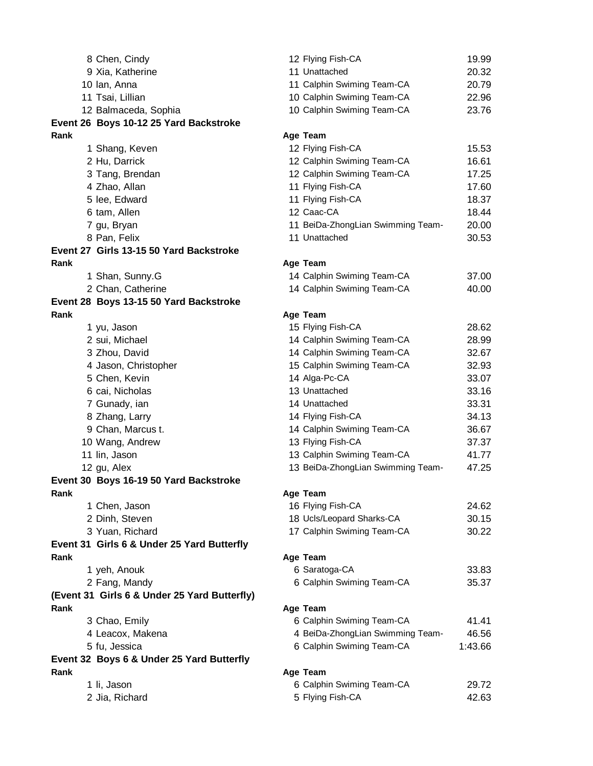| 8 Chen, Cindy                                | 12 Flying Fish-CA                 | 19.99          |
|----------------------------------------------|-----------------------------------|----------------|
| 9 Xia, Katherine                             | 11 Unattached                     | 20.32          |
| 10 Ian, Anna                                 | 11 Calphin Swiming Team-CA        | 20.79          |
| 11 Tsai, Lillian                             | 10 Calphin Swiming Team-CA        | 22.96          |
| 12 Balmaceda, Sophia                         | 10 Calphin Swiming Team-CA        | 23.76          |
| Event 26 Boys 10-12 25 Yard Backstroke       |                                   |                |
| Rank                                         | Age Team                          |                |
| 1 Shang, Keven                               | 12 Flying Fish-CA                 | 15.53          |
| 2 Hu, Darrick                                | 12 Calphin Swiming Team-CA        | 16.61          |
| 3 Tang, Brendan                              | 12 Calphin Swiming Team-CA        | 17.25          |
| 4 Zhao, Allan                                | 11 Flying Fish-CA                 | 17.60          |
| 5 lee, Edward                                | 11 Flying Fish-CA                 | 18.37          |
| 6 tam, Allen                                 | 12 Caac-CA                        | 18.44          |
| 7 gu, Bryan                                  | 11 BeiDa-ZhongLian Swimming Team- | 20.00          |
| 8 Pan, Felix                                 | 11 Unattached                     | 30.53          |
| Event 27 Girls 13-15 50 Yard Backstroke      |                                   |                |
| Rank                                         | Age Team                          |                |
| 1 Shan, Sunny.G                              | 14 Calphin Swiming Team-CA        | 37.00          |
| 2 Chan, Catherine                            | 14 Calphin Swiming Team-CA        | 40.00          |
| Event 28 Boys 13-15 50 Yard Backstroke       |                                   |                |
| Rank                                         | Age Team                          |                |
|                                              | 15 Flying Fish-CA                 | 28.62          |
| 1 yu, Jason<br>2 sui, Michael                | 14 Calphin Swiming Team-CA        | 28.99          |
| 3 Zhou, David                                | 14 Calphin Swiming Team-CA        |                |
|                                              | 15 Calphin Swiming Team-CA        | 32.67          |
| 4 Jason, Christopher                         |                                   | 32.93<br>33.07 |
| 5 Chen, Kevin                                | 14 Alga-Pc-CA                     |                |
| 6 cai, Nicholas                              | 13 Unattached                     | 33.16          |
| 7 Gunady, ian                                | 14 Unattached                     | 33.31          |
| 8 Zhang, Larry                               | 14 Flying Fish-CA                 | 34.13          |
| 9 Chan, Marcus t.                            | 14 Calphin Swiming Team-CA        | 36.67          |
| 10 Wang, Andrew                              | 13 Flying Fish-CA                 | 37.37          |
| 11 lin, Jason                                | 13 Calphin Swiming Team-CA        | 41.77          |
| 12 gu, Alex                                  | 13 BeiDa-ZhongLian Swimming Team- | 47.25          |
| Event 30 Boys 16-19 50 Yard Backstroke       |                                   |                |
| Rank                                         | Age Team                          |                |
| 1 Chen, Jason                                | 16 Flying Fish-CA                 | 24.62          |
| 2 Dinh, Steven                               | 18 Ucls/Leopard Sharks-CA         | 30.15          |
| 3 Yuan, Richard                              | 17 Calphin Swiming Team-CA        | 30.22          |
| Event 31 Girls 6 & Under 25 Yard Butterfly   |                                   |                |
| Rank                                         | Age Team                          |                |
| 1 yeh, Anouk                                 | 6 Saratoga-CA                     | 33.83          |
| 2 Fang, Mandy                                | 6 Calphin Swiming Team-CA         | 35.37          |
| (Event 31 Girls 6 & Under 25 Yard Butterfly) |                                   |                |
| Rank                                         | Age Team                          |                |
| 3 Chao, Emily                                | 6 Calphin Swiming Team-CA         | 41.41          |
| 4 Leacox, Makena                             | 4 BeiDa-ZhongLian Swimming Team-  | 46.56          |
| 5 fu, Jessica                                | 6 Calphin Swiming Team-CA         | 1:43.66        |
| Event 32 Boys 6 & Under 25 Yard Butterfly    |                                   |                |
| Rank                                         | Age Team                          |                |
| 1 li, Jason                                  | 6 Calphin Swiming Team-CA         | 29.72          |
| 2 Jia, Richard                               | 5 Flying Fish-CA                  | 42.63          |
|                                              |                                   |                |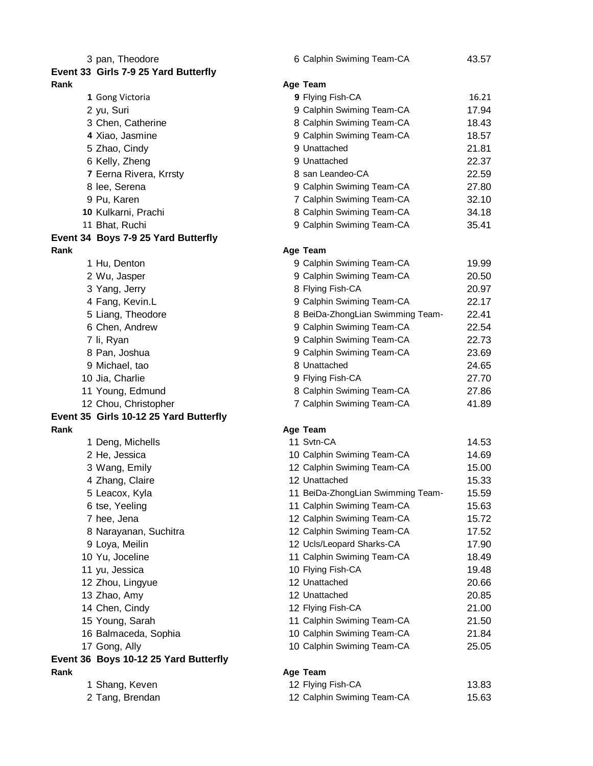| 3 pan, Theodore                        | 6 Calphin Swiming Team-CA         | 43.57 |
|----------------------------------------|-----------------------------------|-------|
| Event 33 Girls 7-9 25 Yard Butterfly   |                                   |       |
| Rank                                   | Age Team                          |       |
| 1 Gong Victoria                        | 9 Flying Fish-CA                  | 16.21 |
| 2 yu, Suri                             | 9 Calphin Swiming Team-CA         | 17.94 |
| 3 Chen, Catherine                      | 8 Calphin Swiming Team-CA         | 18.43 |
| 4 Xiao, Jasmine                        | 9 Calphin Swiming Team-CA         | 18.57 |
| 5 Zhao, Cindy                          | 9 Unattached                      | 21.81 |
| 6 Kelly, Zheng                         | 9 Unattached                      | 22.37 |
| 7 Eerna Rivera, Krrsty                 | 8 san Leandeo-CA                  | 22.59 |
| 8 lee, Serena                          | 9 Calphin Swiming Team-CA         | 27.80 |
| 9 Pu, Karen                            | 7 Calphin Swiming Team-CA         | 32.10 |
| 10 Kulkarni, Prachi                    | 8 Calphin Swiming Team-CA         | 34.18 |
| 11 Bhat, Ruchi                         | 9 Calphin Swiming Team-CA         | 35.41 |
| Event 34 Boys 7-9 25 Yard Butterfly    |                                   |       |
| Rank                                   | Age Team                          |       |
| 1 Hu, Denton                           | 9 Calphin Swiming Team-CA         | 19.99 |
| 2 Wu, Jasper                           | 9 Calphin Swiming Team-CA         | 20.50 |
| 3 Yang, Jerry                          | 8 Flying Fish-CA                  | 20.97 |
| 4 Fang, Kevin.L                        | 9 Calphin Swiming Team-CA         | 22.17 |
| 5 Liang, Theodore                      | 8 BeiDa-ZhongLian Swimming Team-  | 22.41 |
| 6 Chen, Andrew                         | 9 Calphin Swiming Team-CA         | 22.54 |
| 7 li, Ryan                             | 9 Calphin Swiming Team-CA         | 22.73 |
| 8 Pan, Joshua                          | 9 Calphin Swiming Team-CA         | 23.69 |
| 9 Michael, tao                         | 8 Unattached                      | 24.65 |
| 10 Jia, Charlie                        | 9 Flying Fish-CA                  | 27.70 |
| 11 Young, Edmund                       | 8 Calphin Swiming Team-CA         | 27.86 |
| 12 Chou, Christopher                   | 7 Calphin Swiming Team-CA         | 41.89 |
| Event 35 Girls 10-12 25 Yard Butterfly |                                   |       |
| Rank                                   | Age Team                          |       |
| 1 Deng, Michells                       | 11 Svtn-CA                        | 14.53 |
| 2 He, Jessica                          | 10 Calphin Swiming Team-CA        | 14.69 |
| 3 Wang, Emily                          | 12 Calphin Swiming Team-CA        | 15.00 |
| 4 Zhang, Claire                        | 12 Unattached                     | 15.33 |
| 5 Leacox, Kyla                         | 11 BeiDa-ZhongLian Swimming Team- | 15.59 |
| 6 tse, Yeeling                         | 11 Calphin Swiming Team-CA        | 15.63 |
| 7 hee, Jena                            | 12 Calphin Swiming Team-CA        | 15.72 |
| 8 Narayanan, Suchitra                  | 12 Calphin Swiming Team-CA        | 17.52 |
| 9 Loya, Meilin                         | 12 Ucls/Leopard Sharks-CA         | 17.90 |
| 10 Yu, Joceline                        | 11 Calphin Swiming Team-CA        | 18.49 |
| 11 yu, Jessica                         | 10 Flying Fish-CA                 | 19.48 |
| 12 Zhou, Lingyue                       | 12 Unattached                     | 20.66 |
| 13 Zhao, Amy                           | 12 Unattached                     | 20.85 |
| 14 Chen, Cindy                         | 12 Flying Fish-CA                 | 21.00 |
| 15 Young, Sarah                        | 11 Calphin Swiming Team-CA        | 21.50 |
| 16 Balmaceda, Sophia                   | 10 Calphin Swiming Team-CA        | 21.84 |
| 17 Gong, Ally                          | 10 Calphin Swiming Team-CA        | 25.05 |
| Event 36 Boys 10-12 25 Yard Butterfly  |                                   |       |
| Rank                                   | Age Team                          |       |
| 1 Shang, Keven                         | 12 Flying Fish-CA                 | 13.83 |
| 2 Tang, Brendan                        | 12 Calphin Swiming Team-CA        | 15.63 |
|                                        |                                   |       |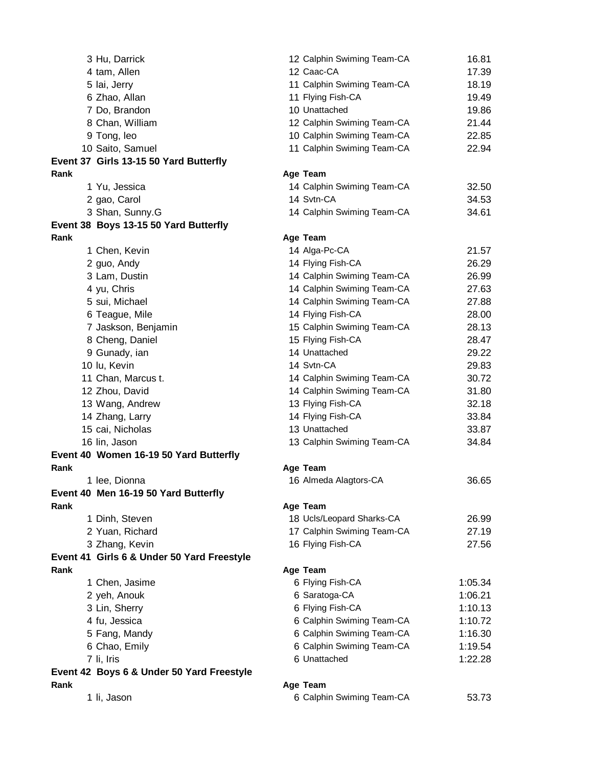|      | 3 Hu, Darrick                                         | 12 Calphin Swiming Team-CA            | 16.81   |
|------|-------------------------------------------------------|---------------------------------------|---------|
|      | 4 tam, Allen                                          | 12 Caac-CA                            | 17.39   |
|      | 5 lai, Jerry                                          | 11 Calphin Swiming Team-CA            | 18.19   |
|      | 6 Zhao, Allan                                         | 11 Flying Fish-CA                     | 19.49   |
|      | 7 Do, Brandon                                         | 10 Unattached                         | 19.86   |
|      | 8 Chan, William                                       | 12 Calphin Swiming Team-CA            | 21.44   |
|      | 9 Tong, leo                                           | 10 Calphin Swiming Team-CA            | 22.85   |
|      | 10 Saito, Samuel                                      | 11 Calphin Swiming Team-CA            | 22.94   |
|      | Event 37 Girls 13-15 50 Yard Butterfly                |                                       |         |
| Rank |                                                       | Age Team                              |         |
|      | 1 Yu, Jessica                                         | 14 Calphin Swiming Team-CA            | 32.50   |
|      | 2 gao, Carol                                          | 14 Svtn-CA                            | 34.53   |
|      | 3 Shan, Sunny.G                                       | 14 Calphin Swiming Team-CA            | 34.61   |
|      | Event 38 Boys 13-15 50 Yard Butterfly                 |                                       |         |
| Rank |                                                       | Age Team                              |         |
|      | 1 Chen, Kevin                                         | 14 Alga-Pc-CA                         | 21.57   |
|      | 2 guo, Andy                                           | 14 Flying Fish-CA                     | 26.29   |
|      | 3 Lam, Dustin                                         | 14 Calphin Swiming Team-CA            | 26.99   |
|      | 4 yu, Chris                                           | 14 Calphin Swiming Team-CA            | 27.63   |
|      | 5 sui, Michael                                        | 14 Calphin Swiming Team-CA            | 27.88   |
|      | 6 Teague, Mile                                        | 14 Flying Fish-CA                     | 28.00   |
|      | 7 Jaskson, Benjamin                                   | 15 Calphin Swiming Team-CA            | 28.13   |
|      | 8 Cheng, Daniel                                       | 15 Flying Fish-CA                     | 28.47   |
|      | 9 Gunady, ian                                         | 14 Unattached                         | 29.22   |
|      | 10 lu, Kevin                                          | 14 Svtn-CA                            | 29.83   |
|      | 11 Chan, Marcus t.                                    | 14 Calphin Swiming Team-CA            | 30.72   |
|      | 12 Zhou, David                                        | 14 Calphin Swiming Team-CA            | 31.80   |
|      | 13 Wang, Andrew                                       | 13 Flying Fish-CA                     | 32.18   |
|      | 14 Zhang, Larry                                       | 14 Flying Fish-CA                     | 33.84   |
|      | 15 cai, Nicholas                                      | 13 Unattached                         | 33.87   |
|      | 16 lin, Jason                                         | 13 Calphin Swiming Team-CA            |         |
|      |                                                       |                                       | 34.84   |
| Rank | Event 40 Women 16-19 50 Yard Butterfly                |                                       |         |
|      |                                                       | Age Team<br>16 Almeda Alagtors-CA     | 36.65   |
|      | 1 lee, Dionna<br>Event 40 Men 16-19 50 Yard Butterfly |                                       |         |
| Rank |                                                       |                                       |         |
|      | 1 Dinh, Steven                                        | Age Team<br>18 Ucls/Leopard Sharks-CA | 26.99   |
|      | 2 Yuan, Richard                                       | 17 Calphin Swiming Team-CA            | 27.19   |
|      |                                                       |                                       | 27.56   |
|      | 3 Zhang, Kevin                                        | 16 Flying Fish-CA                     |         |
|      | Event 41 Girls 6 & Under 50 Yard Freestyle            |                                       |         |
| Rank |                                                       | Age Team                              |         |
|      | 1 Chen, Jasime                                        | 6 Flying Fish-CA                      | 1:05.34 |
|      | 2 yeh, Anouk                                          | 6 Saratoga-CA                         | 1:06.21 |
|      | 3 Lin, Sherry                                         | 6 Flying Fish-CA                      | 1:10.13 |
|      | 4 fu, Jessica                                         | 6 Calphin Swiming Team-CA             | 1:10.72 |
|      | 5 Fang, Mandy                                         | 6 Calphin Swiming Team-CA             | 1:16.30 |
|      | 6 Chao, Emily                                         | 6 Calphin Swiming Team-CA             | 1:19.54 |
|      | 7 li, Iris                                            | 6 Unattached                          | 1:22.28 |
|      | Event 42 Boys 6 & Under 50 Yard Freestyle             |                                       |         |
| Rank |                                                       | Age Team                              |         |
|      | 1 li, Jason                                           | 6 Calphin Swiming Team-CA             | 53.73   |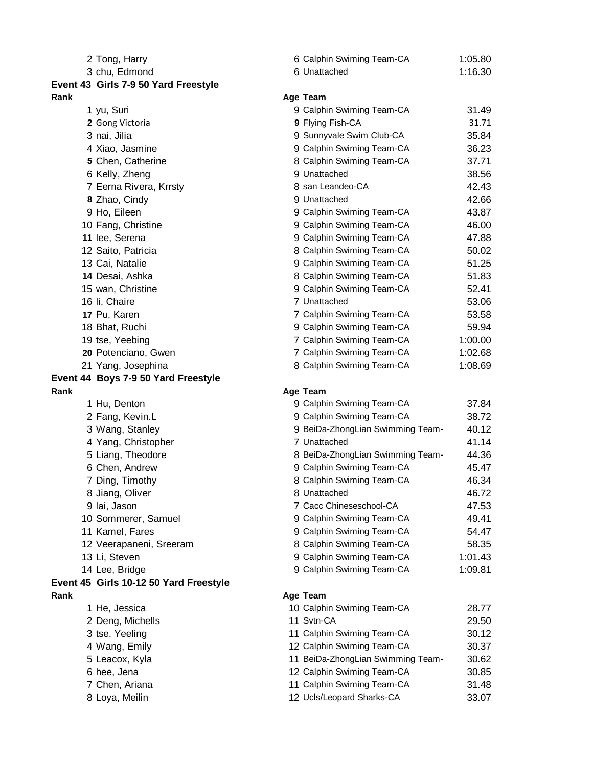|      | 2 Tong, Harry                          | 6 Calphin Swiming Team-CA                                       | 1:05.80        |
|------|----------------------------------------|-----------------------------------------------------------------|----------------|
|      | 3 chu, Edmond                          | 6 Unattached                                                    | 1:16.30        |
|      | Event 43 Girls 7-9 50 Yard Freestyle   |                                                                 |                |
| Rank |                                        | Age Team                                                        |                |
|      | 1 yu, Suri                             | 9 Calphin Swiming Team-CA                                       | 31.49          |
|      | 2 Gong Victoria                        | 9 Flying Fish-CA                                                | 31.71          |
|      | 3 nai, Jilia                           | 9 Sunnyvale Swim Club-CA                                        | 35.84          |
|      | 4 Xiao, Jasmine                        | 9 Calphin Swiming Team-CA                                       | 36.23          |
|      | 5 Chen, Catherine                      | 8 Calphin Swiming Team-CA                                       | 37.71          |
|      | 6 Kelly, Zheng                         | 9 Unattached                                                    | 38.56          |
|      | 7 Eerna Rivera, Krrsty                 | 8 san Leandeo-CA                                                | 42.43          |
|      | 8 Zhao, Cindy                          | 9 Unattached                                                    | 42.66          |
|      | 9 Ho, Eileen                           | 9 Calphin Swiming Team-CA                                       | 43.87          |
|      | 10 Fang, Christine                     | 9 Calphin Swiming Team-CA                                       | 46.00          |
|      | 11 lee, Serena                         | 9 Calphin Swiming Team-CA                                       | 47.88          |
|      | 12 Saito, Patricia                     | 8 Calphin Swiming Team-CA                                       | 50.02          |
|      | 13 Cai, Natalie                        | 9 Calphin Swiming Team-CA                                       | 51.25          |
|      | 14 Desai, Ashka                        | 8 Calphin Swiming Team-CA                                       | 51.83          |
|      | 15 wan, Christine                      | 9 Calphin Swiming Team-CA                                       | 52.41          |
|      | 16 li, Chaire                          | 7 Unattached                                                    | 53.06          |
|      | 17 Pu, Karen                           | 7 Calphin Swiming Team-CA                                       | 53.58          |
|      | 18 Bhat, Ruchi                         | 9 Calphin Swiming Team-CA                                       | 59.94          |
|      | 19 tse, Yeebing                        | 7 Calphin Swiming Team-CA                                       | 1:00.00        |
|      | 20 Potenciano, Gwen                    | 7 Calphin Swiming Team-CA                                       | 1:02.68        |
|      | 21 Yang, Josephina                     | 8 Calphin Swiming Team-CA                                       | 1:08.69        |
|      | Event 44 Boys 7-9 50 Yard Freestyle    |                                                                 |                |
| Rank |                                        | Age Team                                                        |                |
|      | 1 Hu, Denton                           | 9 Calphin Swiming Team-CA                                       | 37.84          |
|      | 2 Fang, Kevin.L                        | 9 Calphin Swiming Team-CA                                       | 38.72          |
|      | 3 Wang, Stanley                        | 9 BeiDa-ZhongLian Swimming Team-                                | 40.12          |
|      | 4 Yang, Christopher                    | 7 Unattached                                                    | 41.14          |
|      | 5 Liang, Theodore                      | 8 BeiDa-ZhongLian Swimming Team-                                | 44.36          |
|      | 6 Chen, Andrew                         | 9 Calphin Swiming Team-CA                                       | 45.47          |
|      | 7 Ding, Timothy                        | 8 Calphin Swiming Team-CA                                       | 46.34          |
|      | 8 Jiang, Oliver                        | 8 Unattached                                                    | 46.72          |
|      | 9 lai, Jason                           | 7 Cacc Chineseschool-CA                                         | 47.53          |
|      | 10 Sommerer, Samuel                    | 9 Calphin Swiming Team-CA                                       | 49.41          |
|      | 11 Kamel, Fares                        | 9 Calphin Swiming Team-CA                                       | 54.47          |
|      | 12 Veerapaneni, Sreeram                | 8 Calphin Swiming Team-CA                                       | 58.35          |
|      | 13 Li, Steven                          | 9 Calphin Swiming Team-CA                                       | 1:01.43        |
|      | 14 Lee, Bridge                         | 9 Calphin Swiming Team-CA                                       | 1:09.81        |
|      | Event 45 Girls 10-12 50 Yard Freestyle |                                                                 |                |
| Rank |                                        | Age Team                                                        |                |
|      | 1 He, Jessica                          | 10 Calphin Swiming Team-CA<br>11 Svtn-CA                        | 28.77          |
|      | 2 Deng, Michells                       |                                                                 | 29.50          |
|      | 3 tse, Yeeling                         | 11 Calphin Swiming Team-CA                                      | 30.12          |
|      | 4 Wang, Emily                          | 12 Calphin Swiming Team-CA                                      | 30.37          |
|      | 5 Leacox, Kyla                         | 11 BeiDa-ZhongLian Swimming Team-<br>12 Calphin Swiming Team-CA | 30.62          |
|      | 6 hee, Jena<br>7 Chen, Ariana          | 11 Calphin Swiming Team-CA                                      | 30.85          |
|      | 8 Loya, Meilin                         | 12 Ucls/Leopard Sharks-CA                                       | 31.48<br>33.07 |
|      |                                        |                                                                 |                |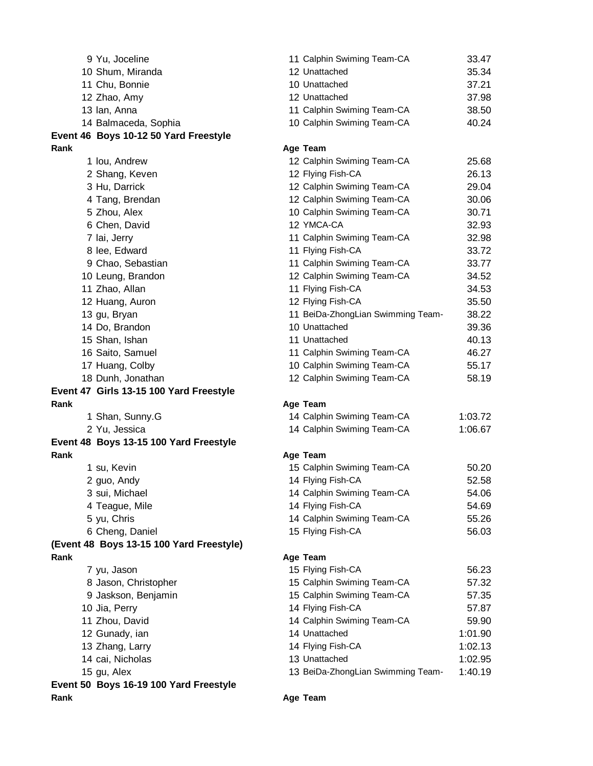| 9 Yu, Joceline                           | 11 Calphin Swiming Team-CA        | 33.47   |
|------------------------------------------|-----------------------------------|---------|
| 10 Shum, Miranda                         | 12 Unattached                     | 35.34   |
| 11 Chu, Bonnie                           | 10 Unattached                     | 37.21   |
| 12 Zhao, Amy                             | 12 Unattached                     | 37.98   |
| 13 Ian, Anna                             | 11 Calphin Swiming Team-CA        | 38.50   |
| 14 Balmaceda, Sophia                     | 10 Calphin Swiming Team-CA        | 40.24   |
| Event 46 Boys 10-12 50 Yard Freestyle    |                                   |         |
| Rank                                     | Age Team                          |         |
| 1 Iou, Andrew                            | 12 Calphin Swiming Team-CA        | 25.68   |
| 2 Shang, Keven                           | 12 Flying Fish-CA                 | 26.13   |
| 3 Hu, Darrick                            | 12 Calphin Swiming Team-CA        | 29.04   |
| 4 Tang, Brendan                          | 12 Calphin Swiming Team-CA        | 30.06   |
| 5 Zhou, Alex                             | 10 Calphin Swiming Team-CA        | 30.71   |
| 6 Chen, David                            | 12 YMCA-CA                        | 32.93   |
| 7 lai, Jerry                             | 11 Calphin Swiming Team-CA        | 32.98   |
| 8 lee, Edward                            | 11 Flying Fish-CA                 | 33.72   |
| 9 Chao, Sebastian                        | 11 Calphin Swiming Team-CA        | 33.77   |
| 10 Leung, Brandon                        | 12 Calphin Swiming Team-CA        | 34.52   |
| 11 Zhao, Allan                           | 11 Flying Fish-CA                 | 34.53   |
| 12 Huang, Auron                          | 12 Flying Fish-CA                 | 35.50   |
| 13 gu, Bryan                             | 11 BeiDa-ZhongLian Swimming Team- | 38.22   |
| 14 Do, Brandon                           | 10 Unattached                     | 39.36   |
| 15 Shan, Ishan                           | 11 Unattached                     | 40.13   |
| 16 Saito, Samuel                         | 11 Calphin Swiming Team-CA        | 46.27   |
| 17 Huang, Colby                          | 10 Calphin Swiming Team-CA        | 55.17   |
| 18 Dunh, Jonathan                        | 12 Calphin Swiming Team-CA        | 58.19   |
| Event 47 Girls 13-15 100 Yard Freestyle  |                                   |         |
| Rank                                     | Age Team                          |         |
| 1 Shan, Sunny.G                          | 14 Calphin Swiming Team-CA        | 1:03.72 |
| 2 Yu, Jessica                            | 14 Calphin Swiming Team-CA        | 1:06.67 |
| Event 48 Boys 13-15 100 Yard Freestyle   |                                   |         |
| Rank                                     | Age Team                          |         |
| 1 su, Kevin                              | 15 Calphin Swiming Team-CA        | 50.20   |
| 2 guo, Andy                              | 14 Flying Fish-CA                 | 52.58   |
| 3 sui, Michael                           | 14 Calphin Swiming Team-CA        | 54.06   |
| 4 Teague, Mile                           | 14 Flying Fish-CA                 | 54.69   |
| 5 yu, Chris                              | 14 Calphin Swiming Team-CA        | 55.26   |
| 6 Cheng, Daniel                          | 15 Flying Fish-CA                 | 56.03   |
| (Event 48 Boys 13-15 100 Yard Freestyle) |                                   |         |
| Rank                                     | Age Team                          |         |
| 7 yu, Jason                              | 15 Flying Fish-CA                 | 56.23   |
| 8 Jason, Christopher                     | 15 Calphin Swiming Team-CA        | 57.32   |
| 9 Jaskson, Benjamin                      | 15 Calphin Swiming Team-CA        | 57.35   |
| 10 Jia, Perry                            | 14 Flying Fish-CA                 | 57.87   |
| 11 Zhou, David                           | 14 Calphin Swiming Team-CA        | 59.90   |
| 12 Gunady, ian                           | 14 Unattached                     | 1:01.90 |
| 13 Zhang, Larry                          | 14 Flying Fish-CA                 | 1:02.13 |
| 14 cai, Nicholas                         | 13 Unattached                     | 1:02.95 |
| 15 gu, Alex                              | 13 BeiDa-ZhongLian Swimming Team- | 1:40.19 |
| Event 50 Boys 16-19 100 Yard Freestyle   |                                   |         |
| Rank                                     | Age Team                          |         |
|                                          |                                   |         |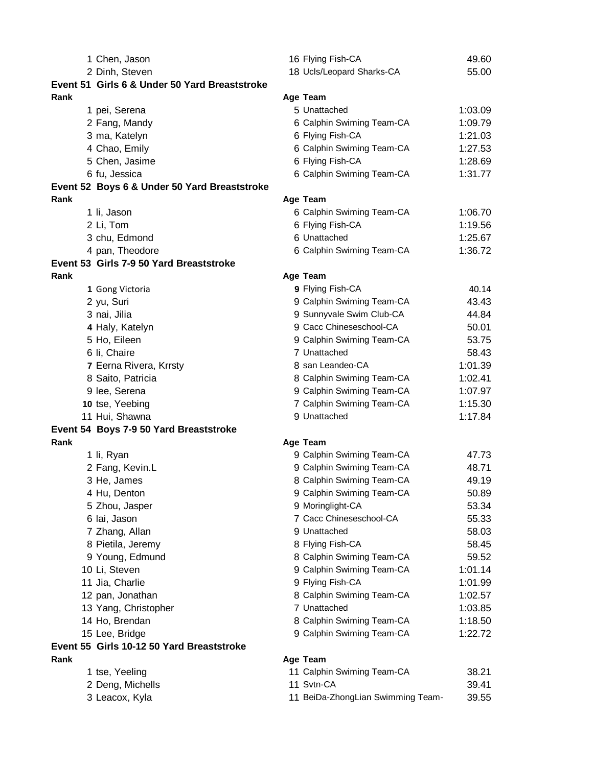|      | 1 Chen, Jason                                 | 16 Flying Fish-CA                 | 49.60   |
|------|-----------------------------------------------|-----------------------------------|---------|
|      | 2 Dinh, Steven                                | 18 Ucls/Leopard Sharks-CA         | 55.00   |
|      | Event 51 Girls 6 & Under 50 Yard Breaststroke |                                   |         |
| Rank |                                               | Age Team                          |         |
|      | 1 pei, Serena                                 | 5 Unattached                      | 1:03.09 |
|      | 2 Fang, Mandy                                 | 6 Calphin Swiming Team-CA         | 1:09.79 |
|      | 3 ma, Katelyn                                 | 6 Flying Fish-CA                  | 1:21.03 |
|      | 4 Chao, Emily                                 | 6 Calphin Swiming Team-CA         | 1:27.53 |
|      | 5 Chen, Jasime                                | 6 Flying Fish-CA                  | 1:28.69 |
|      | 6 fu, Jessica                                 | 6 Calphin Swiming Team-CA         | 1:31.77 |
|      | Event 52 Boys 6 & Under 50 Yard Breaststroke  |                                   |         |
| Rank |                                               | Age Team                          |         |
|      | 1 li, Jason                                   | 6 Calphin Swiming Team-CA         | 1:06.70 |
|      | 2 Li, Tom                                     | 6 Flying Fish-CA                  | 1:19.56 |
|      | 3 chu, Edmond                                 | 6 Unattached                      | 1:25.67 |
|      | 4 pan, Theodore                               | 6 Calphin Swiming Team-CA         | 1:36.72 |
|      | Event 53 Girls 7-9 50 Yard Breaststroke       |                                   |         |
| Rank |                                               | Age Team                          |         |
|      | 1 Gong Victoria                               | 9 Flying Fish-CA                  | 40.14   |
|      | 2 yu, Suri                                    | 9 Calphin Swiming Team-CA         | 43.43   |
|      | 3 nai, Jilia                                  | 9 Sunnyvale Swim Club-CA          | 44.84   |
|      | 4 Haly, Katelyn                               | 9 Cacc Chineseschool-CA           | 50.01   |
|      | 5 Ho, Eileen                                  | 9 Calphin Swiming Team-CA         | 53.75   |
|      | 6 li, Chaire                                  | 7 Unattached                      | 58.43   |
|      | 7 Eerna Rivera, Krrsty                        | 8 san Leandeo-CA                  | 1:01.39 |
|      | 8 Saito, Patricia                             | 8 Calphin Swiming Team-CA         | 1:02.41 |
|      | 9 lee, Serena                                 | 9 Calphin Swiming Team-CA         | 1:07.97 |
|      | 10 tse, Yeebing                               | 7 Calphin Swiming Team-CA         | 1:15.30 |
|      | 11 Hui, Shawna                                | 9 Unattached                      | 1:17.84 |
|      | Event 54 Boys 7-9 50 Yard Breaststroke        |                                   |         |
| Rank |                                               | Age Team                          |         |
|      | 1 li, Ryan                                    | 9 Calphin Swiming Team-CA         | 47.73   |
|      | 2 Fang, Kevin.L                               | 9 Calphin Swiming Team-CA         | 48.71   |
|      | 3 He, James                                   | 8 Calphin Swiming Team-CA         | 49.19   |
|      | 4 Hu, Denton                                  | 9 Calphin Swiming Team-CA         | 50.89   |
|      | 5 Zhou, Jasper                                | 9 Moringlight-CA                  | 53.34   |
|      | 6 lai, Jason                                  | 7 Cacc Chineseschool-CA           | 55.33   |
|      | 7 Zhang, Allan                                | 9 Unattached                      | 58.03   |
|      | 8 Pietila, Jeremy                             | 8 Flying Fish-CA                  | 58.45   |
|      | 9 Young, Edmund                               | 8 Calphin Swiming Team-CA         | 59.52   |
|      | 10 Li, Steven                                 | 9 Calphin Swiming Team-CA         | 1:01.14 |
|      | 11 Jia, Charlie                               | 9 Flying Fish-CA                  | 1:01.99 |
|      | 12 pan, Jonathan                              | 8 Calphin Swiming Team-CA         | 1:02.57 |
|      | 13 Yang, Christopher                          | 7 Unattached                      | 1:03.85 |
|      | 14 Ho, Brendan                                | 8 Calphin Swiming Team-CA         | 1:18.50 |
|      | 15 Lee, Bridge                                | 9 Calphin Swiming Team-CA         | 1:22.72 |
|      | Event 55 Girls 10-12 50 Yard Breaststroke     |                                   |         |
| Rank |                                               | Age Team                          |         |
|      | 1 tse, Yeeling                                | 11 Calphin Swiming Team-CA        | 38.21   |
|      | 2 Deng, Michells                              | 11 Svtn-CA                        | 39.41   |
|      | 3 Leacox, Kyla                                | 11 BeiDa-ZhongLian Swimming Team- | 39.55   |
|      |                                               |                                   |         |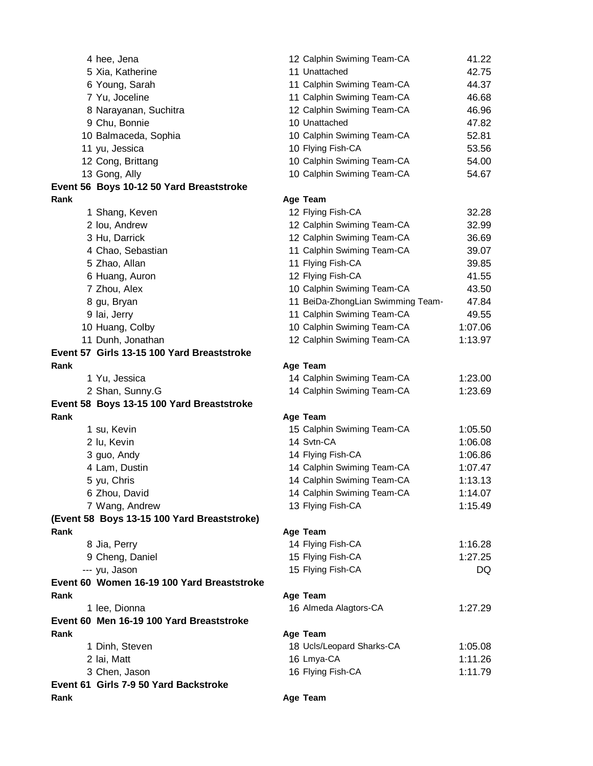| 4 hee, Jena                                 | 12 Calphin Swiming Team-CA        | 41.22   |
|---------------------------------------------|-----------------------------------|---------|
| 5 Xia, Katherine                            | 11 Unattached                     | 42.75   |
| 6 Young, Sarah                              | 11 Calphin Swiming Team-CA        | 44.37   |
| 7 Yu, Joceline                              | 11 Calphin Swiming Team-CA        | 46.68   |
| 8 Narayanan, Suchitra                       | 12 Calphin Swiming Team-CA        | 46.96   |
| 9 Chu, Bonnie                               | 10 Unattached                     | 47.82   |
| 10 Balmaceda, Sophia                        | 10 Calphin Swiming Team-CA        | 52.81   |
| 11 yu, Jessica                              | 10 Flying Fish-CA                 | 53.56   |
| 12 Cong, Brittang                           | 10 Calphin Swiming Team-CA        | 54.00   |
| 13 Gong, Ally                               | 10 Calphin Swiming Team-CA        | 54.67   |
| Event 56 Boys 10-12 50 Yard Breaststroke    |                                   |         |
| Rank                                        | Age Team                          |         |
| 1 Shang, Keven                              | 12 Flying Fish-CA                 | 32.28   |
| 2 Iou, Andrew                               | 12 Calphin Swiming Team-CA        | 32.99   |
| 3 Hu, Darrick                               | 12 Calphin Swiming Team-CA        | 36.69   |
| 4 Chao, Sebastian                           | 11 Calphin Swiming Team-CA        | 39.07   |
| 5 Zhao, Allan                               | 11 Flying Fish-CA                 | 39.85   |
| 6 Huang, Auron                              | 12 Flying Fish-CA                 | 41.55   |
| 7 Zhou, Alex                                | 10 Calphin Swiming Team-CA        | 43.50   |
| 8 gu, Bryan                                 | 11 BeiDa-ZhongLian Swimming Team- | 47.84   |
| 9 lai, Jerry                                | 11 Calphin Swiming Team-CA        | 49.55   |
| 10 Huang, Colby                             | 10 Calphin Swiming Team-CA        |         |
|                                             |                                   | 1:07.06 |
| 11 Dunh, Jonathan                           | 12 Calphin Swiming Team-CA        | 1:13.97 |
| Event 57 Girls 13-15 100 Yard Breaststroke  |                                   |         |
| Rank                                        | Age Team                          |         |
| 1 Yu, Jessica                               | 14 Calphin Swiming Team-CA        | 1:23.00 |
| 2 Shan, Sunny.G                             | 14 Calphin Swiming Team-CA        | 1:23.69 |
| Event 58 Boys 13-15 100 Yard Breaststroke   |                                   |         |
| Rank                                        | Age Team                          |         |
| 1 su, Kevin                                 | 15 Calphin Swiming Team-CA        | 1:05.50 |
| 2 lu, Kevin                                 | 14 Svtn-CA                        | 1:06.08 |
| 3 guo, Andy                                 | 14 Flying Fish-CA                 | 1:06.86 |
| 4 Lam, Dustin                               | 14 Calphin Swiming Team-CA        | 1:07.47 |
| 5 yu, Chris                                 | 14 Calphin Swiming Team-CA        | 1:13.13 |
| 6 Zhou, David                               | 14 Calphin Swiming Team-CA        | 1:14.07 |
| 7 Wang, Andrew                              | 13 Flying Fish-CA                 | 1:15.49 |
| (Event 58 Boys 13-15 100 Yard Breaststroke) |                                   |         |
| Rank                                        | Age Team                          |         |
| 8 Jia, Perry                                | 14 Flying Fish-CA                 | 1:16.28 |
| 9 Cheng, Daniel                             | 15 Flying Fish-CA                 | 1:27.25 |
| --- yu, Jason                               | 15 Flying Fish-CA                 | DQ      |
| Event 60 Women 16-19 100 Yard Breaststroke  |                                   |         |
| Rank                                        | Age Team                          |         |
| 1 lee, Dionna                               | 16 Almeda Alagtors-CA             | 1:27.29 |
| Event 60 Men 16-19 100 Yard Breaststroke    |                                   |         |
| Rank                                        | Age Team                          |         |
| 1 Dinh, Steven                              | 18 Ucls/Leopard Sharks-CA         | 1:05.08 |
| 2 lai, Matt                                 | 16 Lmya-CA                        | 1:11.26 |
| 3 Chen, Jason                               | 16 Flying Fish-CA                 | 1:11.79 |
| Event 61 Girls 7-9 50 Yard Backstroke       |                                   |         |
| Rank                                        | Age Team                          |         |
|                                             |                                   |         |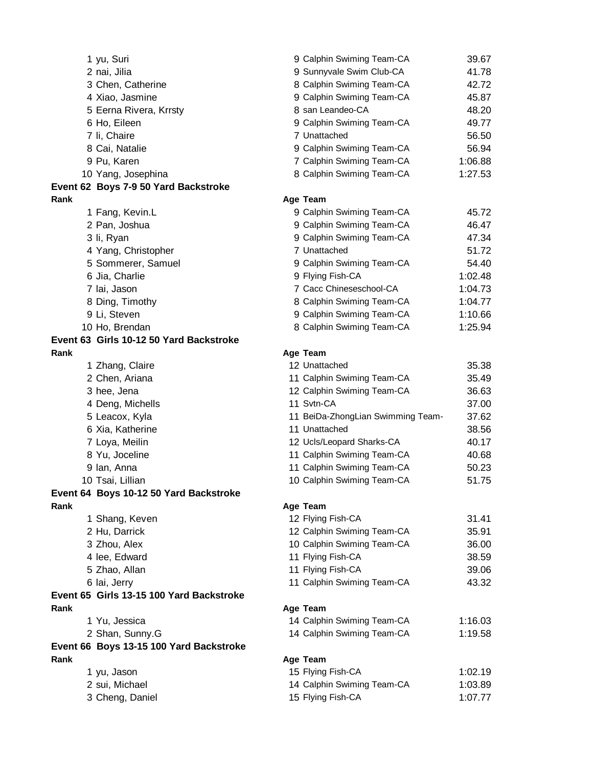|      | 1 yu, Suri                               | 9 Calphin Swiming Team-CA         | 39.67   |
|------|------------------------------------------|-----------------------------------|---------|
|      | 2 nai, Jilia                             | 9 Sunnyvale Swim Club-CA          | 41.78   |
|      | 3 Chen, Catherine                        | 8 Calphin Swiming Team-CA         | 42.72   |
|      | 4 Xiao, Jasmine                          | 9 Calphin Swiming Team-CA         | 45.87   |
|      | 5 Eerna Rivera, Krrsty                   | 8 san Leandeo-CA                  | 48.20   |
|      | 6 Ho, Eileen                             | 9 Calphin Swiming Team-CA         | 49.77   |
|      | 7 li, Chaire                             | 7 Unattached                      | 56.50   |
|      | 8 Cai, Natalie                           | 9 Calphin Swiming Team-CA         | 56.94   |
|      | 9 Pu, Karen                              | 7 Calphin Swiming Team-CA         | 1:06.88 |
|      | 10 Yang, Josephina                       | 8 Calphin Swiming Team-CA         | 1:27.53 |
|      | Event 62 Boys 7-9 50 Yard Backstroke     |                                   |         |
| Rank |                                          | Age Team                          |         |
|      | 1 Fang, Kevin.L                          | 9 Calphin Swiming Team-CA         | 45.72   |
|      | 2 Pan, Joshua                            | 9 Calphin Swiming Team-CA         | 46.47   |
|      | 3 li, Ryan                               | 9 Calphin Swiming Team-CA         | 47.34   |
|      | 4 Yang, Christopher                      | 7 Unattached                      | 51.72   |
|      | 5 Sommerer, Samuel                       | 9 Calphin Swiming Team-CA         | 54.40   |
|      | 6 Jia, Charlie                           | 9 Flying Fish-CA                  | 1:02.48 |
|      | 7 lai, Jason                             | 7 Cacc Chineseschool-CA           | 1:04.73 |
|      | 8 Ding, Timothy                          | 8 Calphin Swiming Team-CA         | 1:04.77 |
|      | 9 Li, Steven                             | 9 Calphin Swiming Team-CA         | 1:10.66 |
|      | 10 Ho, Brendan                           | 8 Calphin Swiming Team-CA         | 1:25.94 |
|      | Event 63 Girls 10-12 50 Yard Backstroke  |                                   |         |
| Rank |                                          | Age Team                          |         |
|      | 1 Zhang, Claire                          | 12 Unattached                     | 35.38   |
|      | 2 Chen, Ariana                           | 11 Calphin Swiming Team-CA        | 35.49   |
|      | 3 hee, Jena                              | 12 Calphin Swiming Team-CA        | 36.63   |
|      | 4 Deng, Michells                         | 11 Svtn-CA                        | 37.00   |
|      | 5 Leacox, Kyla                           | 11 BeiDa-ZhongLian Swimming Team- | 37.62   |
|      | 6 Xia, Katherine                         | 11 Unattached                     | 38.56   |
|      | 7 Loya, Meilin                           | 12 Ucls/Leopard Sharks-CA         | 40.17   |
|      | 8 Yu, Joceline                           | 11 Calphin Swiming Team-CA        | 40.68   |
|      |                                          | 11 Calphin Swiming Team-CA        | 50.23   |
|      | 9 Ian, Anna                              | 10 Calphin Swiming Team-CA        | 51.75   |
|      | 10 Tsai, Lillian                         |                                   |         |
| Rank | Event 64 Boys 10-12 50 Yard Backstroke   |                                   |         |
|      |                                          | Age Team                          |         |
|      | 1 Shang, Keven                           | 12 Flying Fish-CA                 | 31.41   |
|      | 2 Hu, Darrick                            | 12 Calphin Swiming Team-CA        | 35.91   |
|      | 3 Zhou, Alex                             | 10 Calphin Swiming Team-CA        | 36.00   |
|      | 4 lee, Edward                            | 11 Flying Fish-CA                 | 38.59   |
|      | 5 Zhao, Allan                            | 11 Flying Fish-CA                 | 39.06   |
|      | 6 lai, Jerry                             | 11 Calphin Swiming Team-CA        | 43.32   |
|      | Event 65 Girls 13-15 100 Yard Backstroke |                                   |         |
| Rank |                                          | Age Team                          |         |
|      | 1 Yu, Jessica                            | 14 Calphin Swiming Team-CA        | 1:16.03 |
|      | 2 Shan, Sunny.G                          | 14 Calphin Swiming Team-CA        | 1:19.58 |
|      | Event 66 Boys 13-15 100 Yard Backstroke  |                                   |         |
| Rank |                                          | Age Team                          |         |
|      | 1 yu, Jason                              | 15 Flying Fish-CA                 | 1:02.19 |
|      | 2 sui, Michael                           | 14 Calphin Swiming Team-CA        | 1:03.89 |
|      | 3 Cheng, Daniel                          | 15 Flying Fish-CA                 | 1:07.77 |
|      |                                          |                                   |         |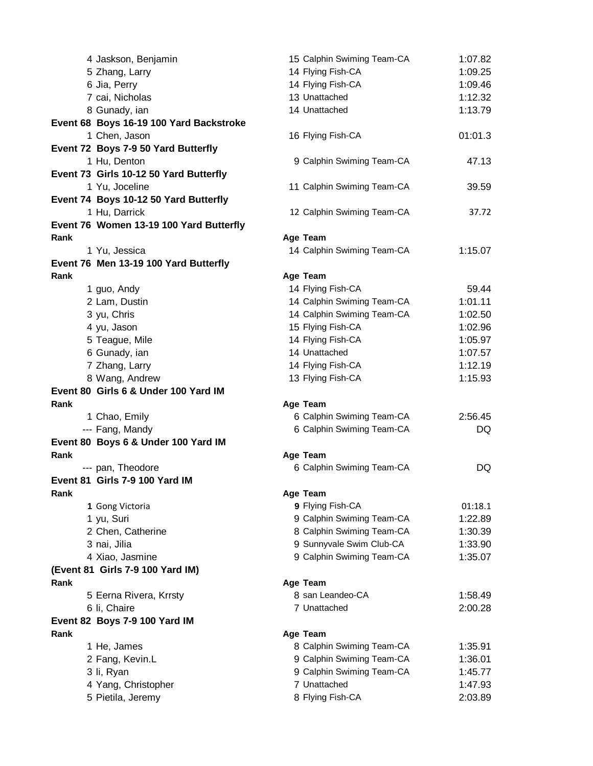|      | 4 Jaskson, Benjamin                      | 15 Calphin Swiming Team-CA                      | 1:07.82            |
|------|------------------------------------------|-------------------------------------------------|--------------------|
|      | 5 Zhang, Larry                           | 14 Flying Fish-CA                               | 1:09.25            |
|      | 6 Jia, Perry                             | 14 Flying Fish-CA                               | 1:09.46            |
|      | 7 cai, Nicholas                          | 13 Unattached                                   | 1:12.32            |
|      | 8 Gunady, ian                            | 14 Unattached                                   | 1:13.79            |
|      | Event 68 Boys 16-19 100 Yard Backstroke  |                                                 |                    |
|      | 1 Chen, Jason                            | 16 Flying Fish-CA                               | 01:01.3            |
|      | Event 72 Boys 7-9 50 Yard Butterfly      |                                                 |                    |
|      | 1 Hu, Denton                             | 9 Calphin Swiming Team-CA                       | 47.13              |
|      | Event 73 Girls 10-12 50 Yard Butterfly   |                                                 |                    |
|      | 1 Yu, Joceline                           | 11 Calphin Swiming Team-CA                      | 39.59              |
|      | Event 74 Boys 10-12 50 Yard Butterfly    |                                                 |                    |
|      | 1 Hu, Darrick                            | 12 Calphin Swiming Team-CA                      | 37.72              |
|      | Event 76 Women 13-19 100 Yard Butterfly  |                                                 |                    |
| Rank |                                          | Age Team                                        |                    |
|      | 1 Yu, Jessica                            | 14 Calphin Swiming Team-CA                      | 1:15.07            |
|      | Event 76 Men 13-19 100 Yard Butterfly    |                                                 |                    |
| Rank |                                          | Age Team                                        |                    |
|      | 1 guo, Andy                              | 14 Flying Fish-CA                               | 59.44              |
|      | 2 Lam, Dustin                            | 14 Calphin Swiming Team-CA                      | 1:01.11            |
|      | 3 yu, Chris                              | 14 Calphin Swiming Team-CA<br>15 Flying Fish-CA | 1:02.50<br>1:02.96 |
|      | 4 yu, Jason                              | 14 Flying Fish-CA                               | 1:05.97            |
|      | 5 Teague, Mile<br>6 Gunady, ian          | 14 Unattached                                   | 1:07.57            |
|      | 7 Zhang, Larry                           | 14 Flying Fish-CA                               | 1:12.19            |
|      |                                          |                                                 |                    |
|      |                                          |                                                 |                    |
|      | 8 Wang, Andrew                           | 13 Flying Fish-CA                               | 1:15.93            |
|      | Event 80 Girls 6 & Under 100 Yard IM     |                                                 |                    |
| Rank |                                          | Age Team                                        |                    |
|      | 1 Chao, Emily                            | 6 Calphin Swiming Team-CA                       | 2:56.45<br>DQ      |
|      | --- Fang, Mandy                          | 6 Calphin Swiming Team-CA                       |                    |
| Rank | Event 80 Boys 6 & Under 100 Yard IM      | Age Team                                        |                    |
|      | --- pan, Theodore                        | 6 Calphin Swiming Team-CA                       | DQ                 |
|      | Event 81 Girls 7-9 100 Yard IM           |                                                 |                    |
| Rank |                                          | Age Team                                        |                    |
|      | 1 Gong Victoria                          | 9 Flying Fish-CA                                | 01:18.1            |
|      | 1 yu, Suri                               | 9 Calphin Swiming Team-CA                       | 1:22.89            |
|      | 2 Chen, Catherine                        | 8 Calphin Swiming Team-CA                       | 1:30.39            |
|      | 3 nai, Jilia                             | 9 Sunnyvale Swim Club-CA                        | 1:33.90            |
|      | 4 Xiao, Jasmine                          | 9 Calphin Swiming Team-CA                       | 1:35.07            |
|      | (Event 81 Girls 7-9 100 Yard IM)         |                                                 |                    |
| Rank |                                          | Age Team                                        |                    |
|      | 5 Eerna Rivera, Krrsty                   | 8 san Leandeo-CA                                | 1:58.49            |
|      | 6 li, Chaire                             | 7 Unattached                                    | 2:00.28            |
|      | Event 82 Boys 7-9 100 Yard IM            |                                                 |                    |
| Rank |                                          | Age Team                                        |                    |
|      | 1 He, James                              | 8 Calphin Swiming Team-CA                       | 1:35.91            |
|      | 2 Fang, Kevin.L                          | 9 Calphin Swiming Team-CA                       | 1:36.01            |
|      | 3 li, Ryan                               | 9 Calphin Swiming Team-CA                       | 1:45.77            |
|      | 4 Yang, Christopher<br>5 Pietila, Jeremy | 7 Unattached<br>8 Flying Fish-CA                | 1:47.93<br>2:03.89 |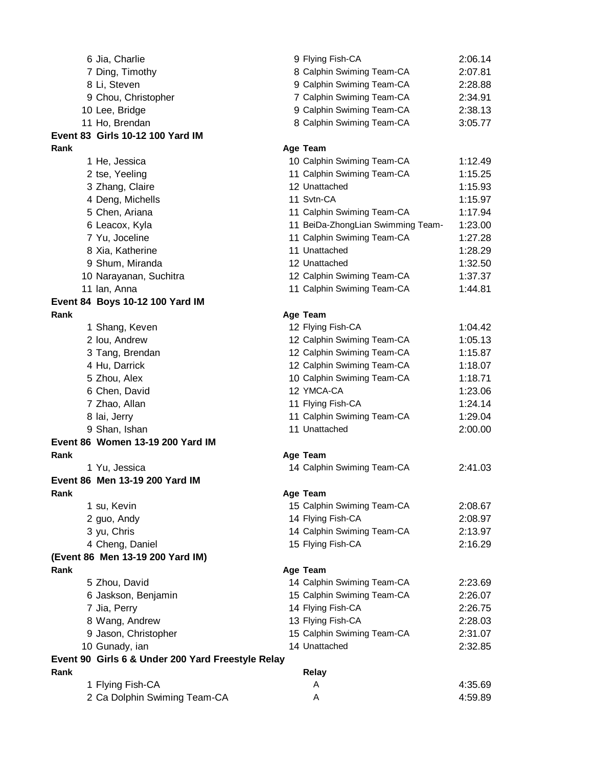|      | 6 Jia, Charlie                                    | 9 Flying Fish-CA                  | 2:06.14 |
|------|---------------------------------------------------|-----------------------------------|---------|
|      | 7 Ding, Timothy                                   | 8 Calphin Swiming Team-CA         | 2:07.81 |
|      | 8 Li, Steven                                      | 9 Calphin Swiming Team-CA         | 2:28.88 |
|      | 9 Chou, Christopher                               | 7 Calphin Swiming Team-CA         | 2:34.91 |
|      | 10 Lee, Bridge                                    | 9 Calphin Swiming Team-CA         | 2:38.13 |
|      | 11 Ho, Brendan                                    | 8 Calphin Swiming Team-CA         | 3:05.77 |
|      | Event 83 Girls 10-12 100 Yard IM                  |                                   |         |
| Rank |                                                   | Age Team                          |         |
|      | 1 He, Jessica                                     | 10 Calphin Swiming Team-CA        | 1:12.49 |
|      | 2 tse, Yeeling                                    | 11 Calphin Swiming Team-CA        | 1:15.25 |
|      | 3 Zhang, Claire                                   | 12 Unattached                     | 1:15.93 |
|      | 4 Deng, Michells                                  | 11 Svtn-CA                        | 1:15.97 |
|      | 5 Chen, Ariana                                    | 11 Calphin Swiming Team-CA        | 1:17.94 |
|      | 6 Leacox, Kyla                                    | 11 BeiDa-ZhongLian Swimming Team- | 1:23.00 |
|      | 7 Yu, Joceline                                    | 11 Calphin Swiming Team-CA        | 1:27.28 |
|      | 8 Xia, Katherine                                  | 11 Unattached                     | 1:28.29 |
|      | 9 Shum, Miranda                                   | 12 Unattached                     | 1:32.50 |
|      | 10 Narayanan, Suchitra                            | 12 Calphin Swiming Team-CA        | 1:37.37 |
|      | 11 Ian, Anna                                      | 11 Calphin Swiming Team-CA        | 1:44.81 |
|      | Event 84 Boys 10-12 100 Yard IM                   |                                   |         |
| Rank |                                                   | Age Team                          |         |
|      | 1 Shang, Keven                                    | 12 Flying Fish-CA                 | 1:04.42 |
|      | 2 Iou, Andrew                                     | 12 Calphin Swiming Team-CA        | 1:05.13 |
|      | 3 Tang, Brendan                                   | 12 Calphin Swiming Team-CA        | 1:15.87 |
|      | 4 Hu, Darrick                                     | 12 Calphin Swiming Team-CA        | 1:18.07 |
|      | 5 Zhou, Alex                                      | 10 Calphin Swiming Team-CA        | 1:18.71 |
|      | 6 Chen, David                                     | 12 YMCA-CA                        | 1:23.06 |
|      | 7 Zhao, Allan                                     | 11 Flying Fish-CA                 | 1:24.14 |
|      | 8 lai, Jerry                                      | 11 Calphin Swiming Team-CA        | 1:29.04 |
|      | 9 Shan, Ishan                                     | 11 Unattached                     | 2:00.00 |
|      | Event 86 Women 13-19 200 Yard IM                  |                                   |         |
| Rank |                                                   | Age Team                          |         |
|      | 1 Yu, Jessica                                     | 14 Calphin Swiming Team-CA        | 2:41.03 |
|      | Event 86 Men 13-19 200 Yard IM                    |                                   |         |
| Rank |                                                   | Age Team                          |         |
|      | 1 su, Kevin                                       | 15 Calphin Swiming Team-CA        | 2:08.67 |
|      | 2 guo, Andy                                       | 14 Flying Fish-CA                 | 2:08.97 |
|      | 3 yu, Chris                                       | 14 Calphin Swiming Team-CA        | 2:13.97 |
|      | 4 Cheng, Daniel                                   | 15 Flying Fish-CA                 | 2:16.29 |
|      | (Event 86 Men 13-19 200 Yard IM)                  |                                   |         |
| Rank |                                                   | Age Team                          |         |
|      | 5 Zhou, David                                     | 14 Calphin Swiming Team-CA        | 2:23.69 |
|      | 6 Jaskson, Benjamin                               | 15 Calphin Swiming Team-CA        | 2:26.07 |
|      | 7 Jia, Perry                                      | 14 Flying Fish-CA                 | 2:26.75 |
|      | 8 Wang, Andrew                                    | 13 Flying Fish-CA                 | 2:28.03 |
|      | 9 Jason, Christopher                              | 15 Calphin Swiming Team-CA        | 2:31.07 |
|      | 10 Gunady, ian                                    | 14 Unattached                     | 2:32.85 |
|      | Event 90 Girls 6 & Under 200 Yard Freestyle Relay |                                   |         |
| Rank |                                                   | Relay                             |         |
|      | 1 Flying Fish-CA                                  | A                                 | 4:35.69 |
|      | 2 Ca Dolphin Swiming Team-CA                      | Α                                 | 4:59.89 |
|      |                                                   |                                   |         |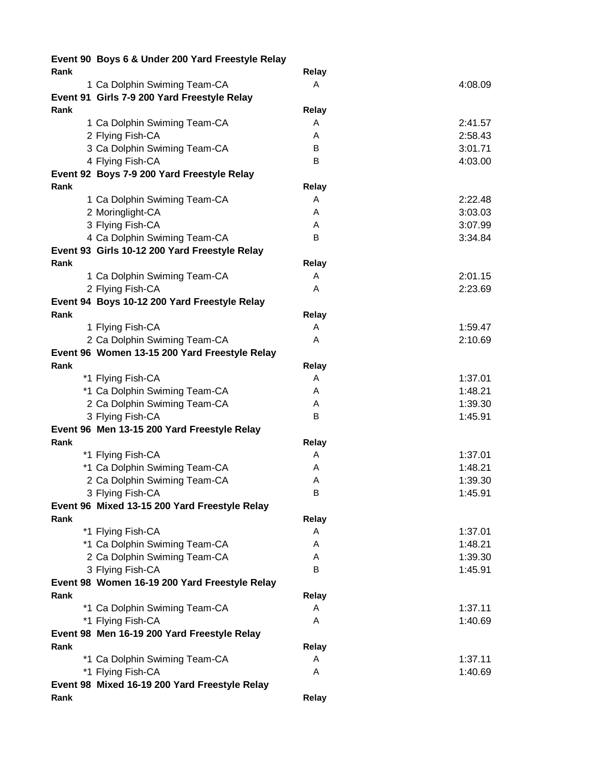|      | Event 90 Boys 6 & Under 200 Yard Freestyle Relay |              |         |
|------|--------------------------------------------------|--------------|---------|
| Rank |                                                  | Relay        |         |
|      | 1 Ca Dolphin Swiming Team-CA                     | A            | 4:08.09 |
|      | Event 91 Girls 7-9 200 Yard Freestyle Relay      |              |         |
| Rank |                                                  | Relay        |         |
|      | 1 Ca Dolphin Swiming Team-CA                     | A            | 2:41.57 |
|      | 2 Flying Fish-CA                                 | A            | 2:58.43 |
|      | 3 Ca Dolphin Swiming Team-CA                     | B            | 3:01.71 |
|      | 4 Flying Fish-CA                                 | B            | 4:03.00 |
|      | Event 92 Boys 7-9 200 Yard Freestyle Relay       |              |         |
| Rank |                                                  | Relay        |         |
|      | 1 Ca Dolphin Swiming Team-CA                     | A            | 2:22.48 |
|      | 2 Moringlight-CA                                 | A            | 3:03.03 |
|      | 3 Flying Fish-CA                                 | A            | 3:07.99 |
|      | 4 Ca Dolphin Swiming Team-CA                     | B            | 3:34.84 |
|      | Event 93 Girls 10-12 200 Yard Freestyle Relay    |              |         |
| Rank |                                                  | Relay        |         |
|      | 1 Ca Dolphin Swiming Team-CA                     | A            | 2:01.15 |
|      | 2 Flying Fish-CA                                 | A            | 2:23.69 |
|      | Event 94 Boys 10-12 200 Yard Freestyle Relay     |              |         |
| Rank |                                                  | Relay        |         |
|      | 1 Flying Fish-CA                                 | A            | 1:59.47 |
|      | 2 Ca Dolphin Swiming Team-CA                     | A            | 2:10.69 |
|      | Event 96 Women 13-15 200 Yard Freestyle Relay    |              |         |
| Rank |                                                  | Relay        |         |
|      | *1 Flying Fish-CA                                | A            | 1:37.01 |
|      | *1 Ca Dolphin Swiming Team-CA                    | A            | 1:48.21 |
|      | 2 Ca Dolphin Swiming Team-CA                     | A            | 1:39.30 |
|      | 3 Flying Fish-CA                                 | B            | 1:45.91 |
|      | Event 96 Men 13-15 200 Yard Freestyle Relay      |              |         |
| Rank |                                                  | Relay        |         |
|      | *1 Flying Fish-CA                                | A            | 1:37.01 |
|      | *1 Ca Dolphin Swiming Team-CA                    | A            | 1:48.21 |
|      | 2 Ca Dolphin Swiming Team-CA                     | Α            | 1:39.30 |
|      | 3 Flying Fish-CA                                 | в            | 1:45.91 |
|      | Event 96 Mixed 13-15 200 Yard Freestyle Relay    |              |         |
| Rank |                                                  | <b>Relay</b> |         |
|      | *1 Flying Fish-CA                                | A            | 1:37.01 |
|      | *1 Ca Dolphin Swiming Team-CA                    | A            | 1:48.21 |
|      | 2 Ca Dolphin Swiming Team-CA                     | A            | 1:39.30 |
|      | 3 Flying Fish-CA                                 | B            | 1:45.91 |
|      | Event 98 Women 16-19 200 Yard Freestyle Relay    |              |         |
| Rank |                                                  | Relay        |         |
|      | *1 Ca Dolphin Swiming Team-CA                    | A            | 1:37.11 |
|      | *1 Flying Fish-CA                                | A            | 1:40.69 |
|      | Event 98 Men 16-19 200 Yard Freestyle Relay      |              |         |
| Rank |                                                  | <b>Relay</b> |         |
|      | *1 Ca Dolphin Swiming Team-CA                    | A            | 1:37.11 |
|      | *1 Flying Fish-CA                                | A            | 1:40.69 |
|      | Event 98 Mixed 16-19 200 Yard Freestyle Relay    |              |         |
| Rank |                                                  | Relay        |         |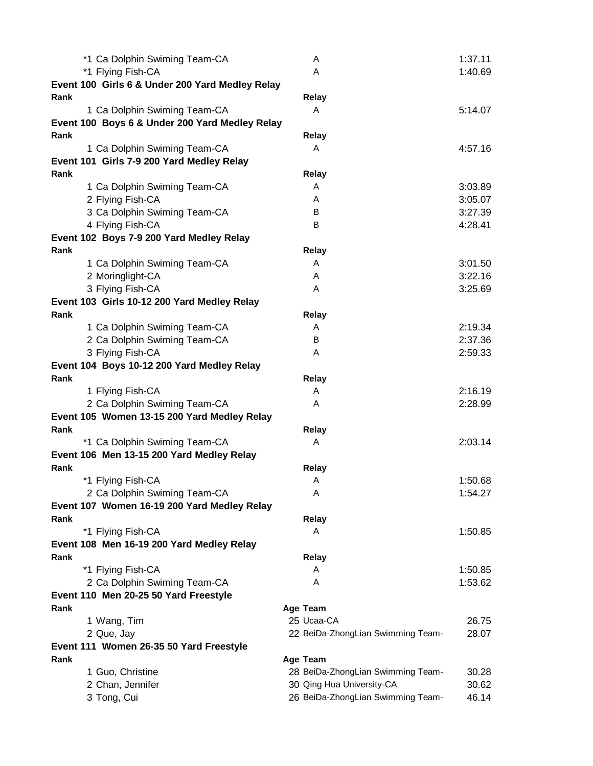| *1 Ca Dolphin Swiming Team-CA                   | A                                 | 1:37.11 |
|-------------------------------------------------|-----------------------------------|---------|
| *1 Flying Fish-CA                               | A                                 | 1:40.69 |
| Event 100 Girls 6 & Under 200 Yard Medley Relay |                                   |         |
| Rank                                            | Relay                             |         |
| 1 Ca Dolphin Swiming Team-CA                    | A                                 | 5:14.07 |
| Event 100 Boys 6 & Under 200 Yard Medley Relay  |                                   |         |
| Rank                                            | Relay                             |         |
| 1 Ca Dolphin Swiming Team-CA                    | A                                 | 4:57.16 |
| Event 101 Girls 7-9 200 Yard Medley Relay       |                                   |         |
| Rank                                            | Relay                             |         |
| 1 Ca Dolphin Swiming Team-CA                    | A                                 | 3:03.89 |
| 2 Flying Fish-CA                                | A                                 | 3:05.07 |
| 3 Ca Dolphin Swiming Team-CA                    | B                                 | 3:27.39 |
| 4 Flying Fish-CA                                | B                                 | 4:28.41 |
| Event 102 Boys 7-9 200 Yard Medley Relay        |                                   |         |
| Rank                                            | Relay                             |         |
| 1 Ca Dolphin Swiming Team-CA                    | A                                 | 3:01.50 |
| 2 Moringlight-CA                                | A                                 | 3:22.16 |
| 3 Flying Fish-CA                                | A                                 | 3:25.69 |
| Event 103 Girls 10-12 200 Yard Medley Relay     |                                   |         |
| Rank                                            | <b>Relay</b>                      |         |
| 1 Ca Dolphin Swiming Team-CA                    | A                                 | 2:19.34 |
| 2 Ca Dolphin Swiming Team-CA                    | B                                 | 2:37.36 |
| 3 Flying Fish-CA                                | A                                 | 2:59.33 |
| Event 104 Boys 10-12 200 Yard Medley Relay      |                                   |         |
| Rank                                            | Relay                             |         |
| 1 Flying Fish-CA                                | A                                 | 2:16.19 |
| 2 Ca Dolphin Swiming Team-CA                    | A                                 | 2:28.99 |
| Event 105 Women 13-15 200 Yard Medley Relay     |                                   |         |
| Rank                                            | Relay                             |         |
| *1 Ca Dolphin Swiming Team-CA                   | A                                 | 2:03.14 |
| Event 106 Men 13-15 200 Yard Medley Relay       |                                   |         |
| Rank                                            | Relay                             |         |
| *1 Flying Fish-CA                               | A                                 | 1:50.68 |
| 2 Ca Dolphin Swiming Team-CA                    | A                                 | 1:54.27 |
| Event 107 Women 16-19 200 Yard Medley Relay     |                                   |         |
| Rank                                            | <b>Relay</b>                      |         |
| *1 Flying Fish-CA                               | A                                 | 1:50.85 |
| Event 108 Men 16-19 200 Yard Medley Relay       |                                   |         |
| Rank                                            | <b>Relay</b>                      |         |
| *1 Flying Fish-CA                               | A                                 | 1:50.85 |
| 2 Ca Dolphin Swiming Team-CA                    | A                                 | 1:53.62 |
| Event 110 Men 20-25 50 Yard Freestyle           |                                   |         |
| Rank                                            | Age Team                          |         |
| 1 Wang, Tim                                     | 25 Ucaa-CA                        | 26.75   |
| 2 Que, Jay                                      | 22 BeiDa-ZhongLian Swimming Team- | 28.07   |
| Event 111 Women 26-35 50 Yard Freestyle         |                                   |         |
| Rank                                            | Age Team                          |         |
| 1 Guo, Christine                                | 28 BeiDa-ZhongLian Swimming Team- | 30.28   |
| 2 Chan, Jennifer                                | 30 Qing Hua University-CA         | 30.62   |
| 3 Tong, Cui                                     | 26 BeiDa-ZhongLian Swimming Team- | 46.14   |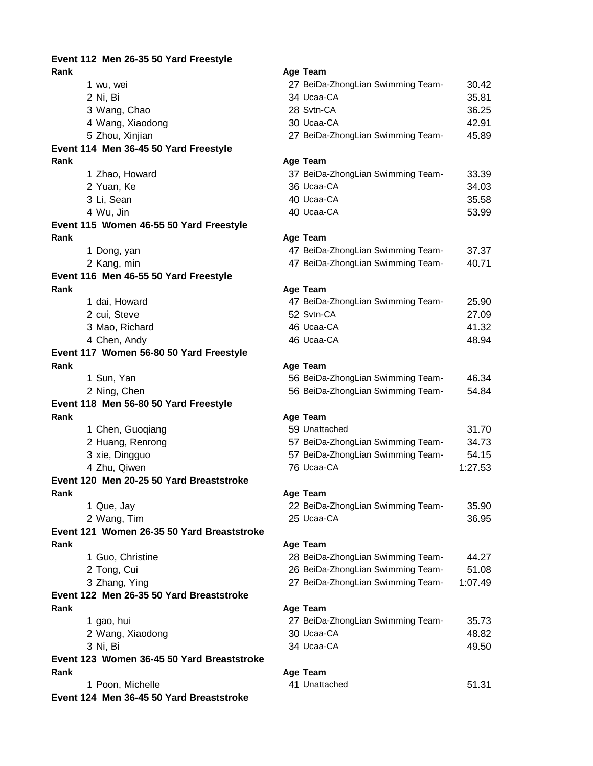**Event 112 Men 26-35 50 Yard Freestyle Rank Age Team** 1 wu, wei 27 BeiDa-ZhongLian Swimming Team-CA 30.42 2 Ni, Bi 34 Ucaa-CA 35.81 3 Wang, Chao 28 Svtn-CA 36.25 4 Wang, Xiaodong 30 Ucaa-CA 42.91 5 Zhou, Xinjian 27 BeiDa-ZhongLian Swimming Team- 45.89 **Event 114 Men 36-45 50 Yard Freestyle Rank Age Team** 1 Zhao, Howard 37 BeiDa-ZhongLian Swimming Team-CA 33.39 2 Yuan, Ke 36 Ucaa-CA 34.03 3 Li, Sean 40 Ucaa-CA 35.58 4 Wu, Jin 53.99 **Event 115 Women 46-55 50 Yard Freestyle Rank Age Team** 1 Dong, yan **1988 and 1999 and 1999 and 47 BeiDa-ZhongLian Swimming Team-** 37.37 2 Kang, min 10.71 and the state of the 47 BeiDa-ZhongLian Swimming Team-**Event 116 Men 46-55 50 Yard Freestyle Rank Age Team** 1 dai, Howard **19 and 25.90** 47 BeiDa-ZhongLian Swimming Team- 25.90 2 cui, Steve 27.09 3 Mao, Richard 46 Ucaa-CA 41.32 4 Chen, Andy 46 Ucaa-CA 48.94 **Event 117 Women 56-80 50 Yard Freestyle Rank Age Team** 1 Sun, Yan 56 BeiDa-ZhongLian Swimming Team1 A6.34 2 Ning, Chen **54.84** 56 BeiDa-ZhongLian Swimming Team- 54.84 **Event 118 Men 56-80 50 Yard Freestyle Rank Age Team** 1 Chen, Guoqiang 1988 Chen, Suite and State State Street, Street, Street, Street, Street, Street, Street, Street, Street, Street, Street, Street, Street, Street, Street, Street, Street, Street, Street, Street, Street, Stre 2 Huang, Renrong **57 BeiDa-ZhongLian Swimming Team-**34.73 3 xie, Dingguo 64.15 4 Zhu, Qiwen 76 Ucaa-CA 1:27.53 **Event 120 Men 20-25 50 Yard Breaststroke Rank Age Team** 1 Que, Jay 22 Beinglian Swimming Team-Ca 35.900 Swimming Team-Ca 35.900 Swimming Team-CA 35.900 Swimming Team-2 Wang, Tim 25 2.95 Ucaa-CA 36.95 Ucaa-CA 36.95 Ucaa-CA 36.95 Ucaa-CA 36.95 Ucaa-CA 36.95 Ucaa-CA 36.95 Ucaa-CA 36.95 Ucaa-CA 36.95 Ucaa-CA 36.95 Ucaa-CA 36.95 Ucaa-CA 36.95 Ucaa-CA 36.95 Ucaa-CA 36.95 Ucaa-CA 36.95 Ucaa-C **Event 121 Women 26-35 50 Yard Breaststroke Rank Age Team** 1 Guo, Christine 2 Tong, Cui 3 Zhang, Ying **Event 122 Men 26-35 50 Yard Breaststroke Rank Age Team** 1 gao, hui 2 Wang, Xiaodong 3 Ni, Bi 34 Ucaa-CA 34 Ucaa-CA 34 Ucaa-CA 49.50 **Event 123 Women 36-45 50 Yard Breaststroke Rank Age Team** 1 Poon, Michelle **Event 124 Men 36-45 50 Yard Breaststroke**

| 22 BeiDa-ZhongLian Swimming Team- | 35.90 |
|-----------------------------------|-------|
| 25 Ucaa-CA                        | 36.95 |

| 28 BeiDa-ZhongLian Swimming Team- | 44.27   |
|-----------------------------------|---------|
| 26 BeiDa-ZhongLian Swimming Team- | 51.08   |
| 27 BeiDa-ZhongLian Swimming Team- | 1:07.49 |

| 27 BeiDa-ZhongLian Swimming Team- | 35.73 |
|-----------------------------------|-------|
| 30 Ucaa-CA                        | 48.82 |
| 34 Ucaa-CA                        | 49.50 |

| 41 Unattached | 51.31 |
|---------------|-------|
|               |       |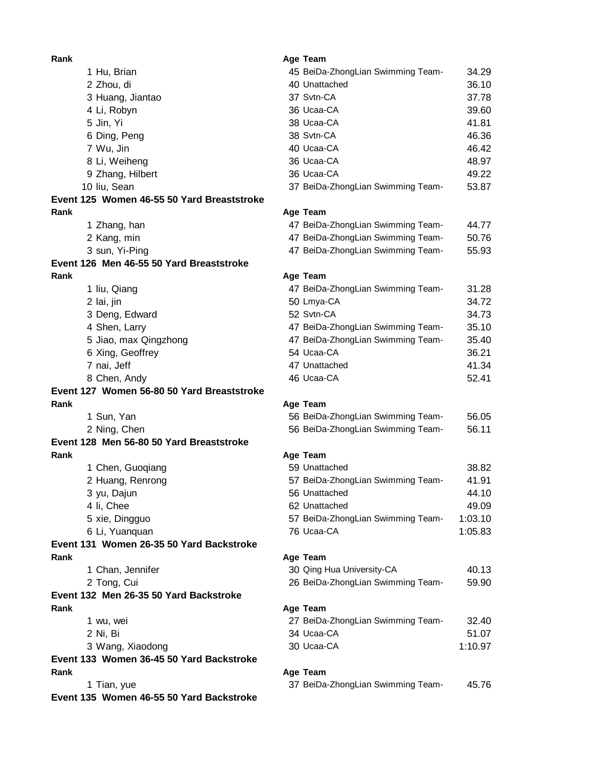**Rank Age Team** 1 Hu, Brian 3 Huang, Jiantao 4 Li, Robyn 6 Ding, Peng 7 Wu, Jin 8 Li, Weiheng 9 Zhang, Hilbert 10 liu, Sean **Event 125 Women 46-55 50 Yard Breaststroke Rank Age Team** 1 Zhang, han 2 Kang, min 3 sun, Yi-Ping **Event 126 Men 46-55 50 Yard Breaststroke Rank Age Team** 1 liu, Qiang 3 Deng, Edward 4 Shen, Larry 5 Jiao, max Qingzhong 6 Xing, Geoffrey 7 nai, Jeff 8 Chen, Andy **Event 127 Women 56-80 50 Yard Breaststroke Rank Age Team** 1 Sun, Yan 2 Ning, Chen **Event 128 Men 56-80 50 Yard Breaststroke Rank Age Team** 1 Chen, Guoqiang 2 Huang, Renrong 3 yu, Dajun 4 li, Chee 5 xie, Dingguo 6 Li, Yuanquan **Event 131 Women 26-35 50 Yard Backstroke Rank Age Team** 1 Chan, Jennifer 2 Tong, Cui **Event 132 Men 26-35 50 Yard Backstroke Rank Age Team** 3 Wang, Xiaodong **Event 133 Women 36-45 50 Yard Backstroke Rank Age Team** 1 Tian, yue **Event 135 Women 46-55 50 Yard Backstroke**

|                                     | Age Team                          |         |
|-------------------------------------|-----------------------------------|---------|
| 1 Hu, Brian                         | 45 BeiDa-ZhongLian Swimming Team- | 34.29   |
| 2 Zhou, di                          | 40 Unattached                     | 36.10   |
| 3 Huang, Jiantao                    | 37 Sytn-CA                        | 37.78   |
| 4 Li, Robyn                         | 36 Ucaa-CA                        | 39.60   |
| 5 Jin, Yi                           | 38 Ucaa-CA                        | 41.81   |
| 6 Ding, Peng                        | 38 Svtn-CA                        | 46.36   |
| 7 Wu, Jin                           | 40 Ucaa-CA                        | 46.42   |
| 8 Li, Weiheng                       | 36 Ucaa-CA                        | 48.97   |
| 9 Zhang, Hilbert                    | 36 Ucaa-CA                        | 49.22   |
| 0 liu, Sean                         | 37 BeiDa-ZhongLian Swimming Team- | 53.87   |
| 25 Women 46-55 50 Yard Breaststroke |                                   |         |
|                                     | Age Team                          |         |
| 1 Zhang, han                        | 47 BeiDa-ZhongLian Swimming Team- | 44.77   |
| 2 Kang, min                         | 47 BeiDa-ZhongLian Swimming Team- | 50.76   |
| 3 sun, Yi-Ping                      | 47 BeiDa-ZhongLian Swimming Team- | 55.93   |
| 26 Men 46-55 50 Yard Breaststroke   |                                   |         |
|                                     | Age Team                          |         |
| 1 liu, Qiang                        | 47 BeiDa-ZhongLian Swimming Team- | 31.28   |
| 2 lai, jin                          | 50 Lmya-CA                        | 34.72   |
| 3 Deng, Edward                      | 52 Svtn-CA                        | 34.73   |
| 4 Shen, Larry                       | 47 BeiDa-ZhongLian Swimming Team- | 35.10   |
| 5 Jiao, max Qingzhong               | 47 BeiDa-ZhongLian Swimming Team- | 35.40   |
| 6 Xing, Geoffrey                    | 54 Ucaa-CA                        | 36.21   |
| 7 nai, Jeff                         | 47 Unattached                     | 41.34   |
| 8 Chen, Andy                        | 46 Ucaa-CA                        | 52.41   |
| 27 Women 56-80 50 Yard Breaststroke |                                   |         |
|                                     | Age Team                          |         |
| 1 Sun, Yan                          | 56 BeiDa-ZhongLian Swimming Team- | 56.05   |
| 2 Ning, Chen                        | 56 BeiDa-ZhongLian Swimming Team- | 56.11   |
| 28 Men 56-80 50 Yard Breaststroke   |                                   |         |
|                                     | Age Team                          |         |
|                                     | 59 Unattached                     | 38.82   |
| 1 Chen, Guoqiang                    | 57 BeiDa-ZhongLian Swimming Team- | 41.91   |
| 2 Huang, Renrong                    | 56 Unattached                     |         |
| 3 yu, Dajun                         | 62 Unattached                     | 44.10   |
| 4 li, Chee                          |                                   | 49.09   |
| 5 xie, Dingguo                      | 57 BeiDa-ZhongLian Swimming Team- | 1:03.10 |
| 6 Li, Yuanquan                      | 76 Ucaa-CA                        | 1:05.83 |
| 31 Women 26-35 50 Yard Backstroke   |                                   |         |
|                                     | Age Team                          |         |
| 1 Chan, Jennifer                    | 30 Qing Hua University-CA         | 40.13   |
| 2 Tong, Cui                         | 26 BeiDa-ZhongLian Swimming Team- | 59.90   |
| 32 Men 26-35 50 Yard Backstroke     |                                   |         |
|                                     | Age Team                          |         |
| 1 wu, wei                           | 27 BeiDa-ZhongLian Swimming Team- | 32.40   |
| 2 Ni, Bi                            | 34 Ucaa-CA                        | 51.07   |
| 3 Wang, Xiaodong                    | 30 Ucaa-CA                        | 1:10.97 |
| 33 Women 36-45 50 Yard Backstroke   |                                   |         |
|                                     | Age Team                          |         |
| 1 Tian, yue                         | 37 BeiDa-ZhongLian Swimming Team- | 45.76   |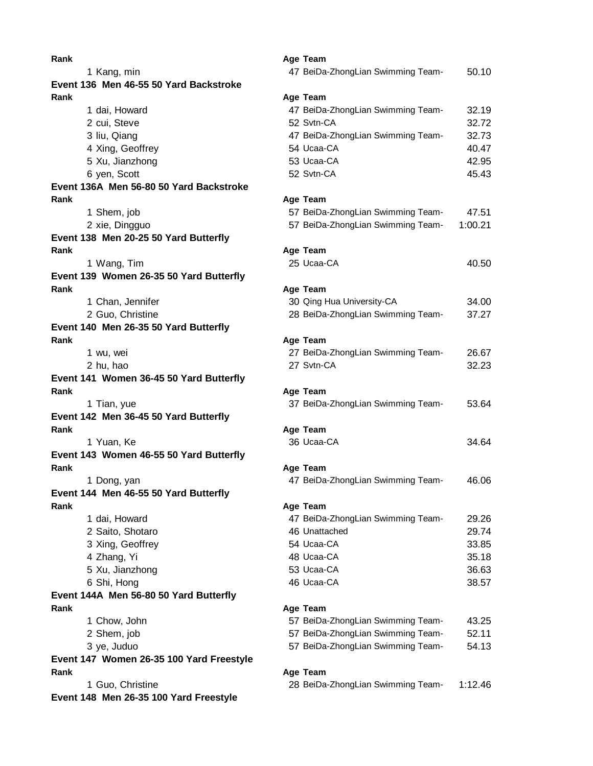| Rank                                     | Age Team                          |         |
|------------------------------------------|-----------------------------------|---------|
| 1 Kang, min                              | 47 BeiDa-ZhongLian Swimming Team- | 50.10   |
| Event 136 Men 46-55 50 Yard Backstroke   |                                   |         |
| Rank                                     | Age Team                          |         |
| 1 dai, Howard                            | 47 BeiDa-ZhongLian Swimming Team- | 32.19   |
| 2 cui, Steve                             | 52 Svtn-CA                        | 32.72   |
| 3 liu, Qiang                             | 47 BeiDa-ZhongLian Swimming Team- | 32.73   |
| 4 Xing, Geoffrey                         | 54 Ucaa-CA                        | 40.47   |
| 5 Xu, Jianzhong                          | 53 Ucaa-CA                        | 42.95   |
| 6 yen, Scott                             | 52 Svtn-CA                        | 45.43   |
| Event 136A Men 56-80 50 Yard Backstroke  |                                   |         |
| Rank                                     | Age Team                          |         |
| 1 Shem, job                              | 57 BeiDa-ZhongLian Swimming Team- | 47.51   |
| 2 xie, Dingguo                           | 57 BeiDa-ZhongLian Swimming Team- | 1:00.21 |
| Event 138 Men 20-25 50 Yard Butterfly    |                                   |         |
| Rank                                     | Age Team                          |         |
| 1 Wang, Tim                              | 25 Ucaa-CA                        | 40.50   |
| Event 139 Women 26-35 50 Yard Butterfly  |                                   |         |
| Rank                                     | Age Team                          |         |
| 1 Chan, Jennifer                         | 30 Qing Hua University-CA         | 34.00   |
| 2 Guo, Christine                         | 28 BeiDa-ZhongLian Swimming Team- | 37.27   |
| Event 140 Men 26-35 50 Yard Butterfly    |                                   |         |
| Rank                                     | Age Team                          |         |
| 1 wu, wei                                | 27 BeiDa-ZhongLian Swimming Team- | 26.67   |
| 2 hu, hao                                | 27 Svtn-CA                        | 32.23   |
| Event 141 Women 36-45 50 Yard Butterfly  |                                   |         |
| Rank                                     | Age Team                          |         |
| 1 Tian, yue                              | 37 BeiDa-ZhongLian Swimming Team- | 53.64   |
| Event 142 Men 36-45 50 Yard Butterfly    |                                   |         |
| Rank                                     | Age Team                          |         |
| 1 Yuan, Ke                               | 36 Ucaa-CA                        | 34.64   |
| Event 143 Women 46-55 50 Yard Butterfly  |                                   |         |
| Rank                                     | Age Team                          |         |
| 1 Dong, yan                              | 47 BeiDa-ZhongLian Swimming Team- | 46.06   |
| Event 144 Men 46-55 50 Yard Butterfly    |                                   |         |
| Rank                                     | Age Team                          |         |
| 1 dai, Howard                            | 47 BeiDa-ZhongLian Swimming Team- | 29.26   |
| 2 Saito, Shotaro                         | 46 Unattached                     | 29.74   |
| 3 Xing, Geoffrey                         | 54 Ucaa-CA                        | 33.85   |
| 4 Zhang, Yi                              | 48 Ucaa-CA                        | 35.18   |
| 5 Xu, Jianzhong                          | 53 Ucaa-CA                        | 36.63   |
| 6 Shi, Hong                              | 46 Ucaa-CA                        | 38.57   |
| Event 144A Men 56-80 50 Yard Butterfly   |                                   |         |
| Rank                                     | Age Team                          |         |
| 1 Chow, John                             | 57 BeiDa-ZhongLian Swimming Team- | 43.25   |
| 2 Shem, job                              | 57 BeiDa-ZhongLian Swimming Team- | 52.11   |
| 3 ye, Juduo                              | 57 BeiDa-ZhongLian Swimming Team- | 54.13   |
| Event 147 Women 26-35 100 Yard Freestyle |                                   |         |
| Rank                                     | Age Team                          |         |
| 1 Guo, Christine                         | 28 BeiDa-ZhongLian Swimming Team- | 1:12.46 |
| Event 148 Men 26-35 100 Yard Freestyle   |                                   |         |
|                                          |                                   |         |
|                                          |                                   |         |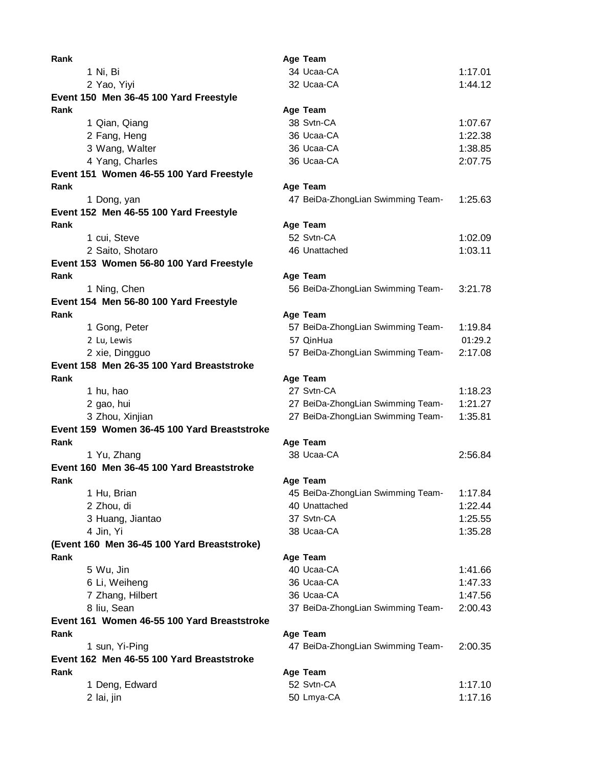| Rank                                        | Age Team                          |         |
|---------------------------------------------|-----------------------------------|---------|
| 1 Ni, Bi                                    | 34 Ucaa-CA                        | 1:17.01 |
| 2 Yao, Yiyi                                 | 32 Ucaa-CA                        | 1:44.12 |
| Event 150 Men 36-45 100 Yard Freestyle      |                                   |         |
| Rank                                        | Age Team                          |         |
| 1 Qian, Qiang                               | 38 Svtn-CA                        | 1:07.67 |
| 2 Fang, Heng                                | 36 Ucaa-CA                        | 1:22.38 |
| 3 Wang, Walter                              | 36 Ucaa-CA                        | 1:38.85 |
| 4 Yang, Charles                             | 36 Ucaa-CA                        | 2:07.75 |
| Event 151 Women 46-55 100 Yard Freestyle    |                                   |         |
| Rank                                        | Age Team                          |         |
| 1 Dong, yan                                 | 47 BeiDa-ZhongLian Swimming Team- | 1:25.63 |
| Event 152 Men 46-55 100 Yard Freestyle      |                                   |         |
| Rank                                        | Age Team                          |         |
| 1 cui, Steve                                | 52 Svtn-CA                        | 1:02.09 |
| 2 Saito, Shotaro                            | 46 Unattached                     | 1:03.11 |
| Event 153 Women 56-80 100 Yard Freestyle    |                                   |         |
| Rank                                        | Age Team                          |         |
| 1 Ning, Chen                                | 56 BeiDa-ZhongLian Swimming Team- | 3:21.78 |
| Event 154 Men 56-80 100 Yard Freestyle      |                                   |         |
| Rank                                        | Age Team                          |         |
| 1 Gong, Peter                               | 57 BeiDa-ZhongLian Swimming Team- | 1:19.84 |
| 2 Lu, Lewis                                 | 57 QinHua                         | 01:29.2 |
| 2 xie, Dingguo                              | 57 BeiDa-ZhongLian Swimming Team- | 2:17.08 |
| Event 158 Men 26-35 100 Yard Breaststroke   |                                   |         |
| Rank                                        | Age Team                          |         |
| 1 hu, hao                                   | 27 Svtn-CA                        | 1:18.23 |
| 2 gao, hui                                  | 27 BeiDa-ZhongLian Swimming Team- | 1:21.27 |
| 3 Zhou, Xinjian                             | 27 BeiDa-ZhongLian Swimming Team- | 1:35.81 |
| Event 159 Women 36-45 100 Yard Breaststroke |                                   |         |
| Rank                                        | Age Team                          |         |
| 1 Yu, Zhang                                 | 38 Ucaa-CA                        | 2:56.84 |
| Event 160 Men 36-45 100 Yard Breaststroke   |                                   |         |
| Rank                                        | Age Team                          |         |
| 1 Hu, Brian                                 | 45 BeiDa-ZhongLian Swimming Team- | 1:17.84 |
| 2 Zhou, di                                  | 40 Unattached                     | 1:22.44 |
| 3 Huang, Jiantao                            | 37 Svtn-CA                        | 1:25.55 |
| 4 Jin, Yi                                   | 38 Ucaa-CA                        | 1:35.28 |
| (Event 160 Men 36-45 100 Yard Breaststroke) |                                   |         |
| Rank                                        | Age Team                          |         |
| 5 Wu, Jin                                   | 40 Ucaa-CA                        | 1:41.66 |
| 6 Li, Weiheng                               | 36 Ucaa-CA                        | 1:47.33 |
| 7 Zhang, Hilbert                            | 36 Ucaa-CA                        | 1:47.56 |
| 8 liu, Sean                                 | 37 BeiDa-ZhongLian Swimming Team- | 2:00.43 |
| Event 161 Women 46-55 100 Yard Breaststroke |                                   |         |
| Rank                                        | Age Team                          |         |
| 1 sun, Yi-Ping                              | 47 BeiDa-ZhongLian Swimming Team- | 2:00.35 |
| Event 162 Men 46-55 100 Yard Breaststroke   |                                   |         |
| Rank                                        | Age Team                          |         |
| 1 Deng, Edward                              | 52 Svtn-CA                        | 1:17.10 |
| 2 lai, jin                                  | 50 Lmya-CA                        | 1:17.16 |
|                                             |                                   |         |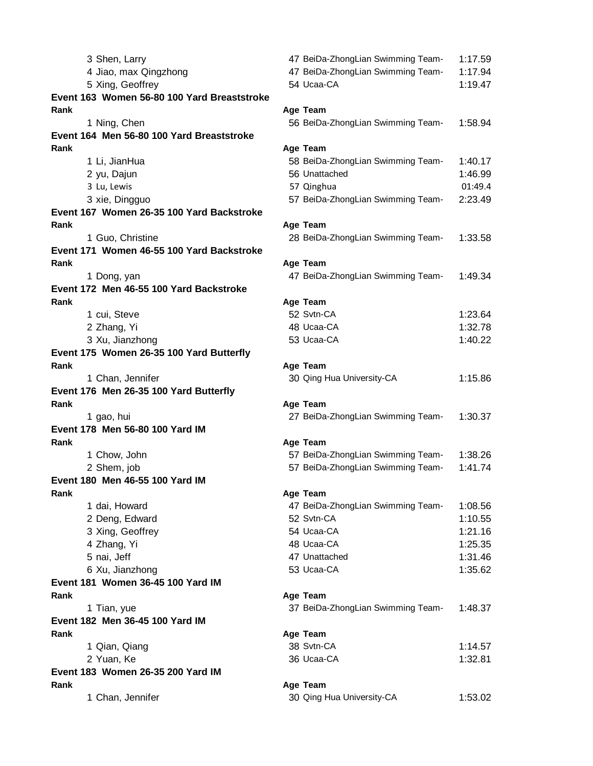| 3 Shen, Larry                               | 47 BeiDa-ZhongLian Swimming Team- | 1:17.59 |
|---------------------------------------------|-----------------------------------|---------|
| 4 Jiao, max Qingzhong                       | 47 BeiDa-ZhongLian Swimming Team- | 1:17.94 |
| 5 Xing, Geoffrey                            | 54 Ucaa-CA                        | 1:19.47 |
| Event 163 Women 56-80 100 Yard Breaststroke |                                   |         |
| Rank                                        | Age Team                          |         |
| 1 Ning, Chen                                | 56 BeiDa-ZhongLian Swimming Team- | 1:58.94 |
| Event 164 Men 56-80 100 Yard Breaststroke   |                                   |         |
| Rank                                        | Age Team                          |         |
| 1 Li, JianHua                               | 58 BeiDa-ZhongLian Swimming Team- | 1:40.17 |
| 2 yu, Dajun                                 | 56 Unattached                     | 1:46.99 |
| 3 Lu, Lewis                                 | 57 Qinghua                        | 01:49.4 |
| 3 xie, Dingguo                              | 57 BeiDa-ZhongLian Swimming Team- | 2:23.49 |
| Event 167 Women 26-35 100 Yard Backstroke   |                                   |         |
| Rank                                        | Age Team                          |         |
| 1 Guo, Christine                            | 28 BeiDa-ZhongLian Swimming Team- | 1:33.58 |
| Event 171 Women 46-55 100 Yard Backstroke   |                                   |         |
| Rank                                        | Age Team                          |         |
| 1 Dong, yan                                 | 47 BeiDa-ZhongLian Swimming Team- | 1:49.34 |
| Event 172 Men 46-55 100 Yard Backstroke     |                                   |         |
| Rank                                        | Age Team                          |         |
| 1 cui, Steve                                | 52 Svtn-CA                        | 1:23.64 |
| 2 Zhang, Yi                                 | 48 Ucaa-CA                        | 1:32.78 |
| 3 Xu, Jianzhong                             | 53 Ucaa-CA                        | 1:40.22 |
| Event 175 Women 26-35 100 Yard Butterfly    |                                   |         |
| Rank                                        |                                   |         |
|                                             | Age Team                          | 1:15.86 |
| 1 Chan, Jennifer                            | 30 Qing Hua University-CA         |         |
| Event 176 Men 26-35 100 Yard Butterfly      |                                   |         |
| Rank                                        | Age Team                          |         |
| 1 gao, hui                                  | 27 BeiDa-ZhongLian Swimming Team- | 1:30.37 |
| Event 178 Men 56-80 100 Yard IM             |                                   |         |
| Rank                                        | Age Team                          |         |
| 1 Chow, John                                | 57 BeiDa-ZhongLian Swimming Team- | 1:38.26 |
| 2 Shem, job                                 | 57 BeiDa-ZhongLian Swimming Team- | 1:41.74 |
| Event 180 Men 46-55 100 Yard IM             |                                   |         |
| Rank                                        | Age Team                          |         |
| 1 dai, Howard                               | 47 BeiDa-ZhongLian Swimming Team- | 1:08.56 |
| 2 Deng, Edward                              | 52 Svtn-CA                        | 1:10.55 |
| 3 Xing, Geoffrey                            | 54 Ucaa-CA                        | 1:21.16 |
| 4 Zhang, Yi                                 | 48 Ucaa-CA                        | 1:25.35 |
| 5 nai, Jeff                                 | 47 Unattached                     | 1:31.46 |
| 6 Xu, Jianzhong                             | 53 Ucaa-CA                        | 1:35.62 |
| Event 181 Women 36-45 100 Yard IM           |                                   |         |
| Rank                                        | Age Team                          |         |
| 1 Tian, yue                                 | 37 BeiDa-ZhongLian Swimming Team- | 1:48.37 |
| Event 182 Men 36-45 100 Yard IM             |                                   |         |
| Rank                                        | Age Team                          |         |
| 1 Qian, Qiang                               | 38 Svtn-CA                        | 1:14.57 |
| 2 Yuan, Ke                                  | 36 Ucaa-CA                        | 1:32.81 |
| Event 183 Women 26-35 200 Yard IM           |                                   |         |
| Rank                                        | Age Team                          |         |
| 1 Chan, Jennifer                            | 30 Qing Hua University-CA         | 1:53.02 |
|                                             |                                   |         |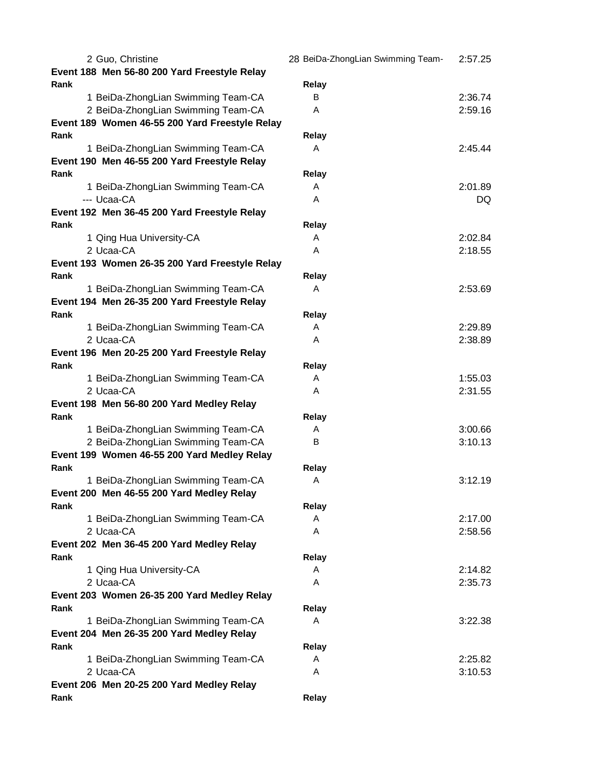| 2 Guo, Christine                               | 28 BeiDa-ZhongLian Swimming Team- | 2:57.25 |
|------------------------------------------------|-----------------------------------|---------|
| Event 188 Men 56-80 200 Yard Freestyle Relay   |                                   |         |
| Rank                                           | Relay                             |         |
| 1 BeiDa-ZhongLian Swimming Team-CA             | B                                 | 2:36.74 |
| 2 BeiDa-ZhongLian Swimming Team-CA             | A                                 | 2:59.16 |
| Event 189 Women 46-55 200 Yard Freestyle Relay |                                   |         |
| Rank                                           | Relay                             |         |
| 1 BeiDa-ZhongLian Swimming Team-CA             | A                                 | 2:45.44 |
| Event 190 Men 46-55 200 Yard Freestyle Relay   |                                   |         |
| Rank                                           | Relay                             |         |
| 1 BeiDa-ZhongLian Swimming Team-CA             | A                                 | 2:01.89 |
| --- Ucaa-CA                                    | A                                 | DQ.     |
| Event 192 Men 36-45 200 Yard Freestyle Relay   |                                   |         |
| Rank                                           | Relay                             |         |
|                                                |                                   |         |
| 1 Qing Hua University-CA<br>2 Ucaa-CA          | A                                 | 2:02.84 |
|                                                | A                                 | 2:18.55 |
| Event 193 Women 26-35 200 Yard Freestyle Relay |                                   |         |
| Rank                                           | Relay                             |         |
| 1 BeiDa-ZhongLian Swimming Team-CA             | A                                 | 2:53.69 |
| Event 194 Men 26-35 200 Yard Freestyle Relay   |                                   |         |
| Rank                                           | Relay                             |         |
| 1 BeiDa-ZhongLian Swimming Team-CA             | A                                 | 2:29.89 |
| 2 Ucaa-CA                                      | A                                 | 2:38.89 |
| Event 196 Men 20-25 200 Yard Freestyle Relay   |                                   |         |
| Rank                                           | Relay                             |         |
| 1 BeiDa-ZhongLian Swimming Team-CA             | A                                 | 1:55.03 |
| 2 Ucaa-CA                                      | A                                 | 2:31.55 |
| Event 198 Men 56-80 200 Yard Medley Relay      |                                   |         |
| Rank                                           | Relay                             |         |
| 1 BeiDa-ZhongLian Swimming Team-CA             | A                                 | 3:00.66 |
| 2 BeiDa-ZhongLian Swimming Team-CA             | B                                 | 3:10.13 |
| Event 199 Women 46-55 200 Yard Medley Relay    |                                   |         |
| Rank                                           | Relay                             |         |
| 1 BeiDa-ZhongLian Swimming Team-CA             | Α                                 | 3:12.19 |
| Event 200 Men 46-55 200 Yard Medley Relay      |                                   |         |
| Rank                                           | Relay                             |         |
| 1 BeiDa-ZhongLian Swimming Team-CA             | A                                 | 2:17.00 |
| 2 Ucaa-CA                                      | A                                 | 2:58.56 |
|                                                |                                   |         |
| Event 202 Men 36-45 200 Yard Medley Relay      |                                   |         |
| Rank                                           | Relay                             |         |
| 1 Qing Hua University-CA                       | A                                 | 2:14.82 |
| 2 Ucaa-CA                                      | A                                 | 2:35.73 |
| Event 203 Women 26-35 200 Yard Medley Relay    |                                   |         |
| Rank                                           | Relay                             |         |
| 1 BeiDa-ZhongLian Swimming Team-CA             | A                                 | 3:22.38 |
| Event 204 Men 26-35 200 Yard Medley Relay      |                                   |         |
| Rank                                           | Relay                             |         |
| 1 BeiDa-ZhongLian Swimming Team-CA             | A                                 | 2:25.82 |
| 2 Ucaa-CA                                      | A                                 | 3:10.53 |
| Event 206 Men 20-25 200 Yard Medley Relay      |                                   |         |
| Rank                                           | Relay                             |         |
|                                                |                                   |         |